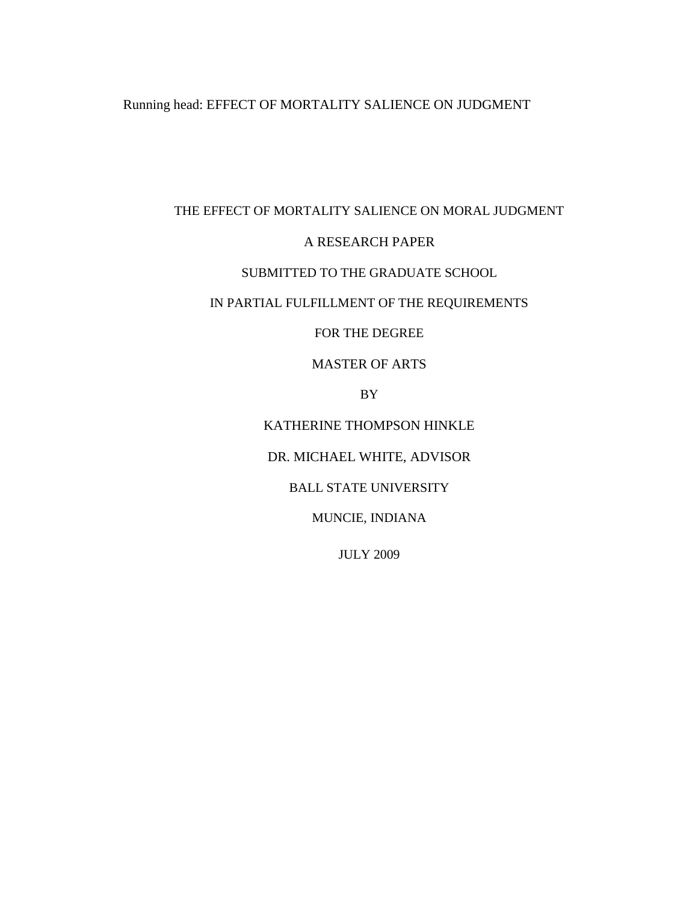## Running head: EFFECT OF MORTALITY SALIENCE ON JUDGMENT

# THE EFFECT OF MORTALITY SALIENCE ON MORAL JUDGMENT A RESEARCH PAPER SUBMITTED TO THE GRADUATE SCHOOL

## IN PARTIAL FULFILLMENT OF THE REQUIREMENTS

FOR THE DEGREE

#### MASTER OF ARTS

BY

KATHERINE THOMPSON HINKLE

DR. MICHAEL WHITE, ADVISOR

BALL STATE UNIVERSITY

MUNCIE, INDIANA

JULY 2009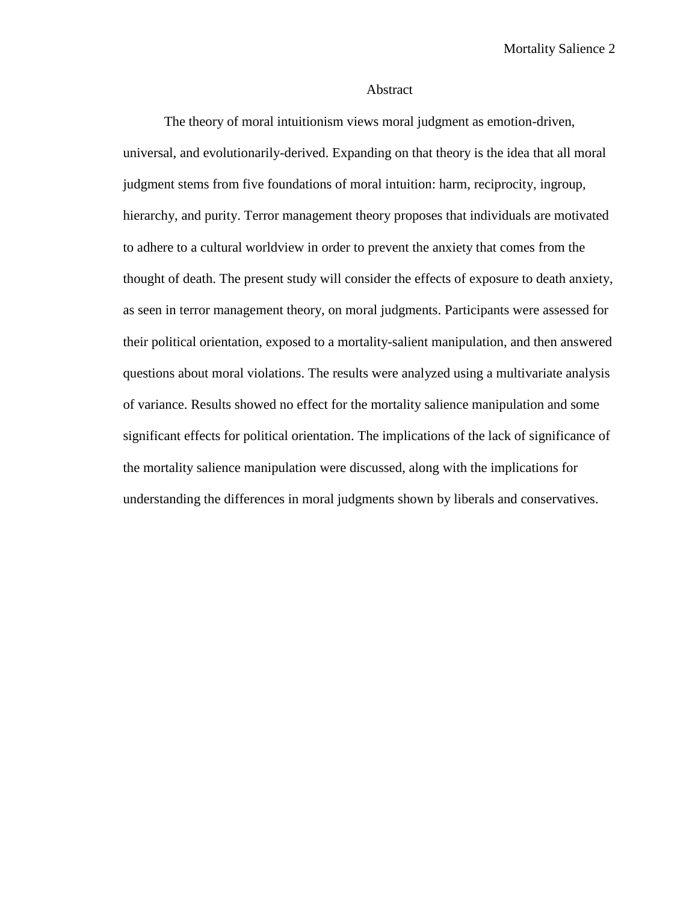#### Abstract

The theory of moral intuitionism views moral judgment as emotion-driven, universal, and evolutionarily-derived. Expanding on that theory is the idea that all moral judgment stems from five foundations of moral intuition: harm, reciprocity, ingroup, hierarchy, and purity. Terror management theory proposes that individuals are motivated to adhere to a cultural worldview in order to prevent the anxiety that comes from the thought of death. The present study will consider the effects of exposure to death anxiety, as seen in terror management theory, on moral judgments. Participants were assessed for their political orientation, exposed to a mortality-salient manipulation, and then answered questions about moral violations. The results were analyzed using a multivariate analysis of variance. Results showed no effect for the mortality salience manipulation and some significant effects for political orientation. The implications of the lack of significance of the mortality salience manipulation were discussed, along with the implications for understanding the differences in moral judgments shown by liberals and conservatives.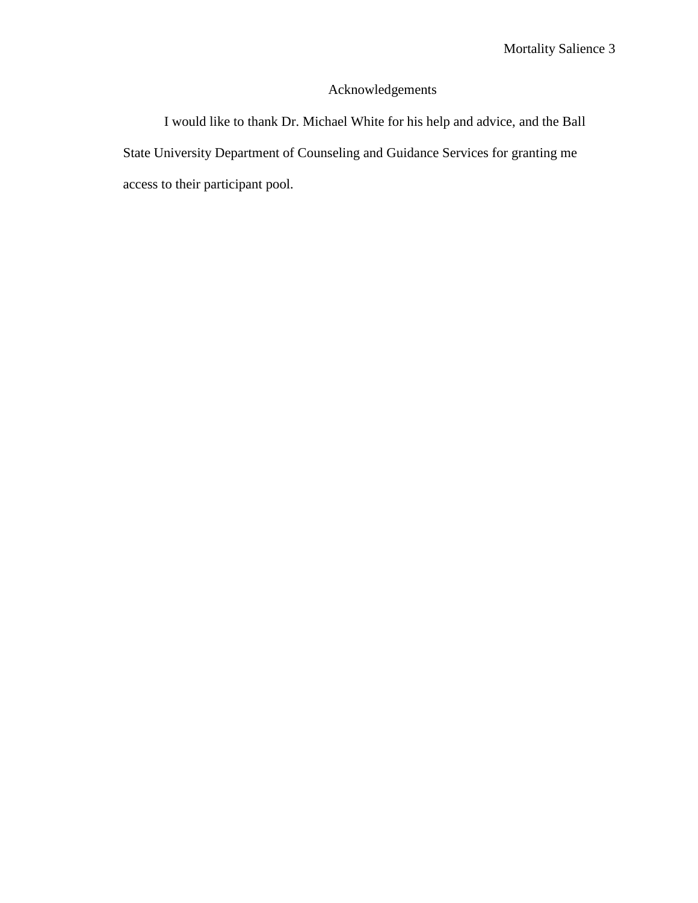## Acknowledgements

<span id="page-2-0"></span>I would like to thank Dr. Michael White for his help and advice, and the Ball State University Department of Counseling and Guidance Services for granting me access to their participant pool.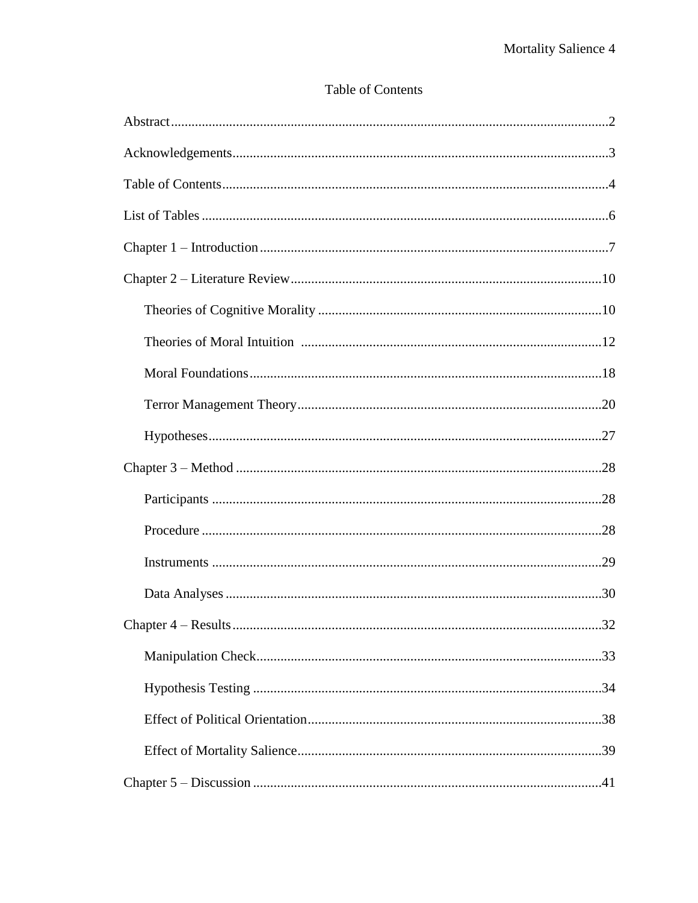## Table of Contents

| 32 |
|----|
|    |
|    |
|    |
|    |
|    |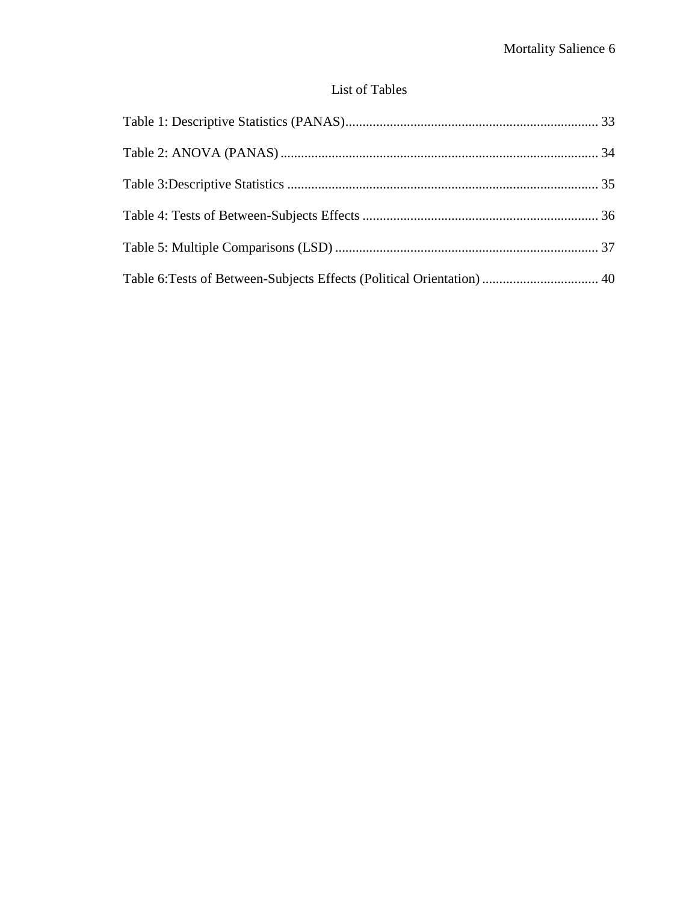## List of Tables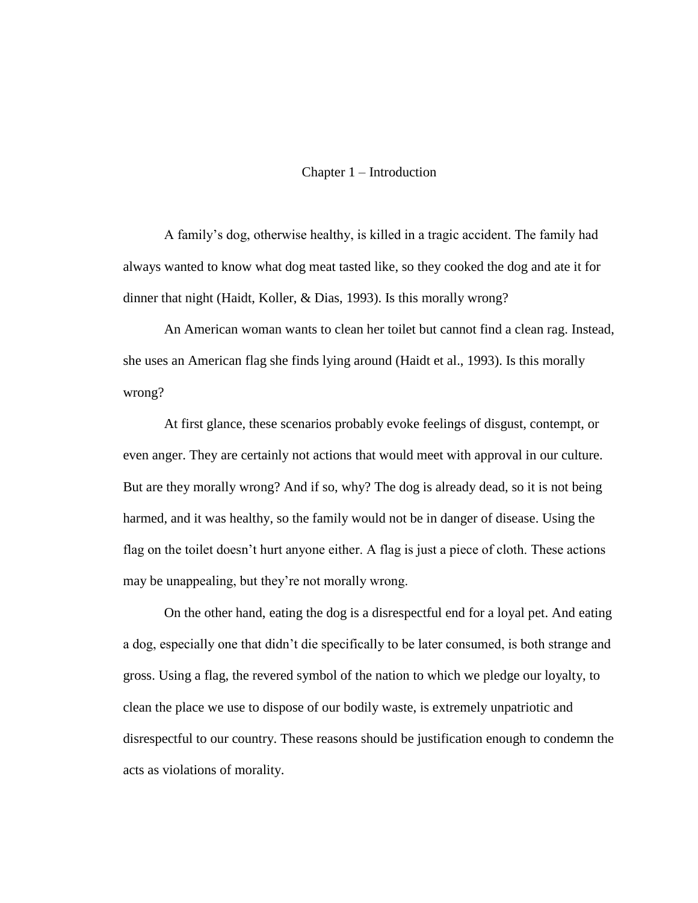#### Chapter 1 – Introduction

A family's dog, otherwise healthy, is killed in a tragic accident. The family had always wanted to know what dog meat tasted like, so they cooked the dog and ate it for dinner that night (Haidt, Koller, & Dias, 1993). Is this morally wrong?

An American woman wants to clean her toilet but cannot find a clean rag. Instead, she uses an American flag she finds lying around (Haidt et al., 1993). Is this morally wrong?

At first glance, these scenarios probably evoke feelings of disgust, contempt, or even anger. They are certainly not actions that would meet with approval in our culture. But are they morally wrong? And if so, why? The dog is already dead, so it is not being harmed, and it was healthy, so the family would not be in danger of disease. Using the flag on the toilet doesn't hurt anyone either. A flag is just a piece of cloth. These actions may be unappealing, but they're not morally wrong.

On the other hand, eating the dog is a disrespectful end for a loyal pet. And eating a dog, especially one that didn't die specifically to be later consumed, is both strange and gross. Using a flag, the revered symbol of the nation to which we pledge our loyalty, to clean the place we use to dispose of our bodily waste, is extremely unpatriotic and disrespectful to our country. These reasons should be justification enough to condemn the acts as violations of morality.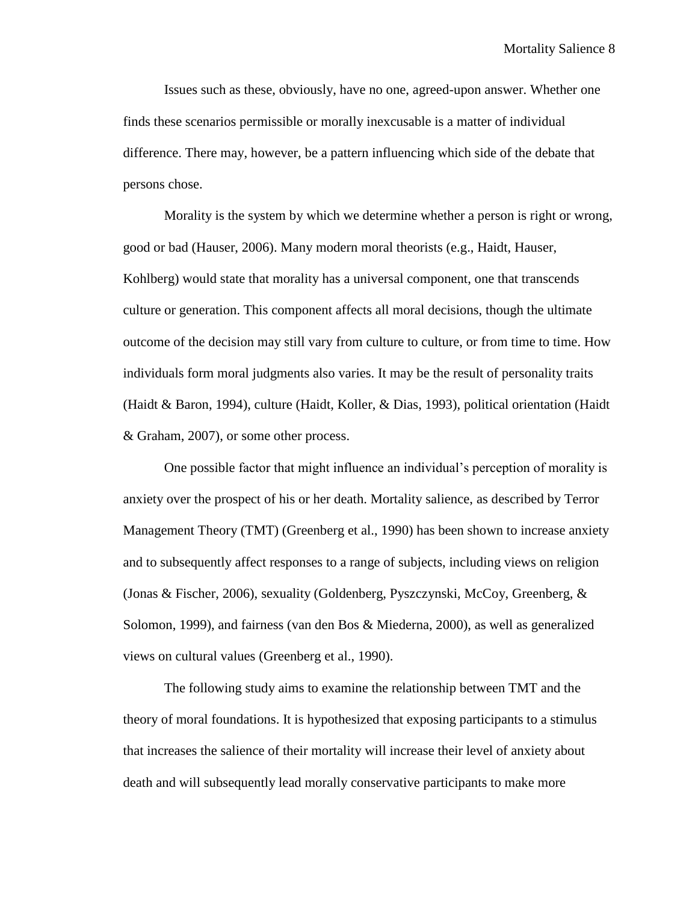Issues such as these, obviously, have no one, agreed-upon answer. Whether one finds these scenarios permissible or morally inexcusable is a matter of individual difference. There may, however, be a pattern influencing which side of the debate that persons chose.

Morality is the system by which we determine whether a person is right or wrong, good or bad (Hauser, 2006). Many modern moral theorists (e.g., Haidt, Hauser, Kohlberg) would state that morality has a universal component, one that transcends culture or generation. This component affects all moral decisions, though the ultimate outcome of the decision may still vary from culture to culture, or from time to time. How individuals form moral judgments also varies. It may be the result of personality traits (Haidt & Baron, 1994), culture (Haidt, Koller, & Dias, 1993), political orientation (Haidt & Graham, 2007), or some other process.

One possible factor that might influence an individual's perception of morality is anxiety over the prospect of his or her death. Mortality salience, as described by Terror Management Theory (TMT) (Greenberg et al., 1990) has been shown to increase anxiety and to subsequently affect responses to a range of subjects, including views on religion (Jonas & Fischer, 2006), sexuality (Goldenberg, Pyszczynski, McCoy, Greenberg, & Solomon, 1999), and fairness (van den Bos & Miederna, 2000), as well as generalized views on cultural values (Greenberg et al., 1990).

The following study aims to examine the relationship between TMT and the theory of moral foundations. It is hypothesized that exposing participants to a stimulus that increases the salience of their mortality will increase their level of anxiety about death and will subsequently lead morally conservative participants to make more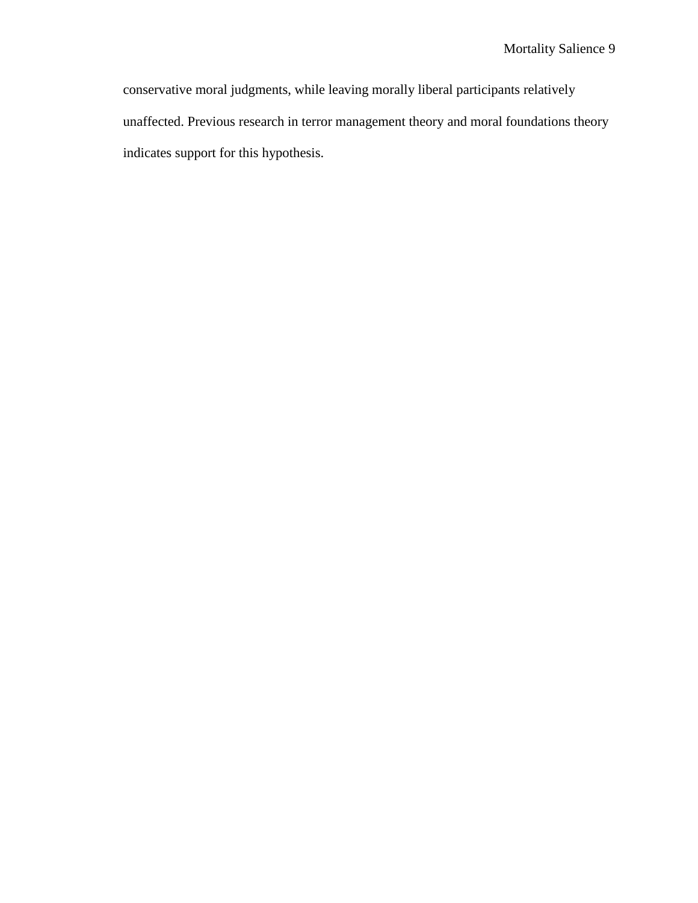conservative moral judgments, while leaving morally liberal participants relatively unaffected. Previous research in terror management theory and moral foundations theory indicates support for this hypothesis.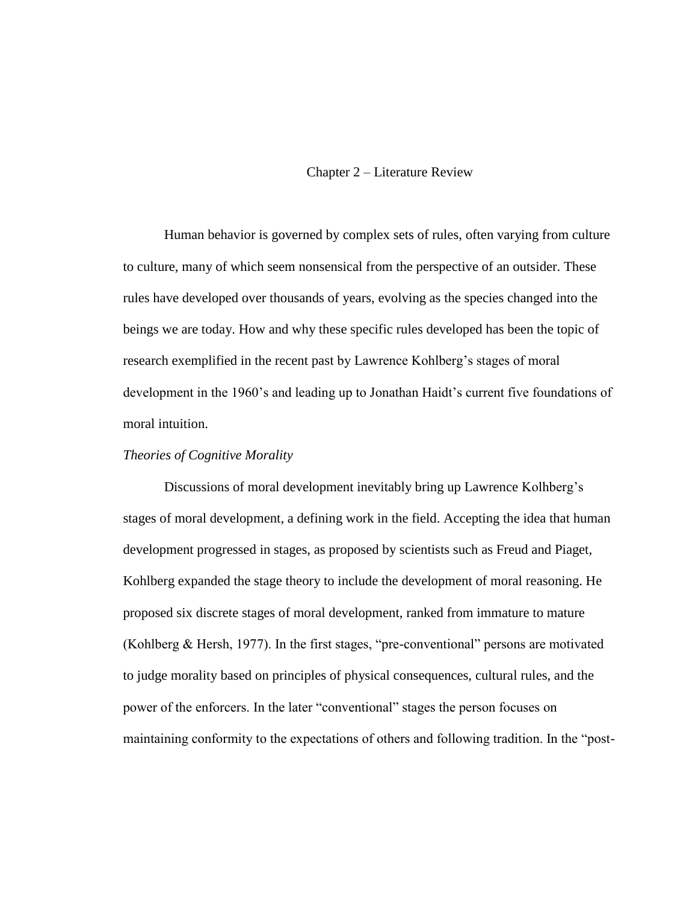#### Chapter 2 – Literature Review

Human behavior is governed by complex sets of rules, often varying from culture to culture, many of which seem nonsensical from the perspective of an outsider. These rules have developed over thousands of years, evolving as the species changed into the beings we are today. How and why these specific rules developed has been the topic of research exemplified in the recent past by Lawrence Kohlberg's stages of moral development in the 1960's and leading up to Jonathan Haidt's current five foundations of moral intuition.

#### *Theories of Cognitive Morality*

Discussions of moral development inevitably bring up Lawrence Kolhberg's stages of moral development, a defining work in the field. Accepting the idea that human development progressed in stages, as proposed by scientists such as Freud and Piaget, Kohlberg expanded the stage theory to include the development of moral reasoning. He proposed six discrete stages of moral development, ranked from immature to mature (Kohlberg & Hersh, 1977). In the first stages, "pre-conventional" persons are motivated to judge morality based on principles of physical consequences, cultural rules, and the power of the enforcers. In the later "conventional" stages the person focuses on maintaining conformity to the expectations of others and following tradition. In the "post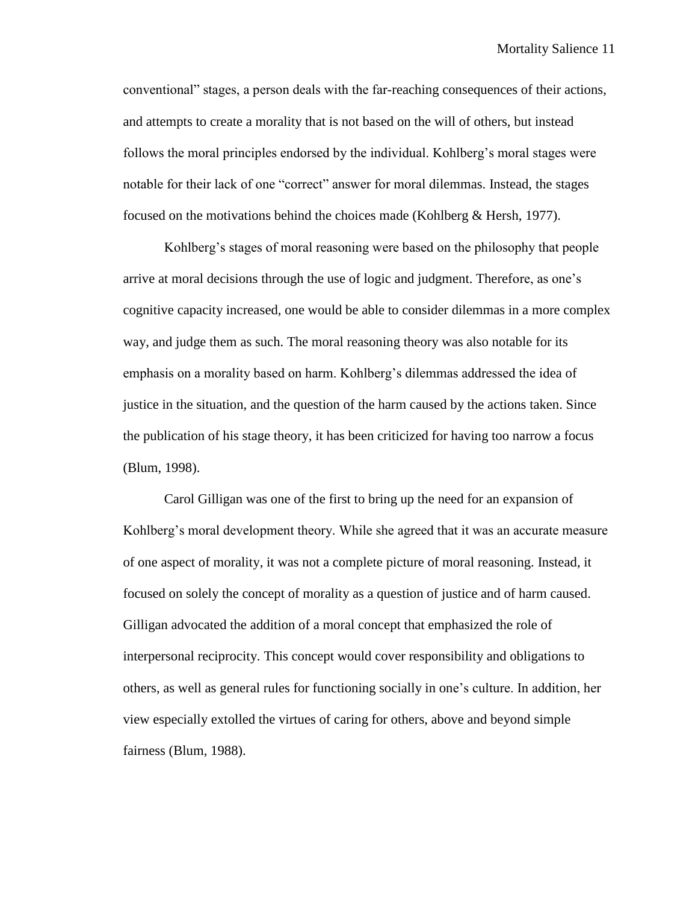conventional" stages, a person deals with the far-reaching consequences of their actions, and attempts to create a morality that is not based on the will of others, but instead follows the moral principles endorsed by the individual. Kohlberg's moral stages were notable for their lack of one "correct" answer for moral dilemmas. Instead, the stages focused on the motivations behind the choices made (Kohlberg  $\&$  Hersh, 1977).

Kohlberg's stages of moral reasoning were based on the philosophy that people arrive at moral decisions through the use of logic and judgment. Therefore, as one's cognitive capacity increased, one would be able to consider dilemmas in a more complex way, and judge them as such. The moral reasoning theory was also notable for its emphasis on a morality based on harm. Kohlberg's dilemmas addressed the idea of justice in the situation, and the question of the harm caused by the actions taken. Since the publication of his stage theory, it has been criticized for having too narrow a focus (Blum, 1998).

Carol Gilligan was one of the first to bring up the need for an expansion of Kohlberg's moral development theory. While she agreed that it was an accurate measure of one aspect of morality, it was not a complete picture of moral reasoning. Instead, it focused on solely the concept of morality as a question of justice and of harm caused. Gilligan advocated the addition of a moral concept that emphasized the role of interpersonal reciprocity. This concept would cover responsibility and obligations to others, as well as general rules for functioning socially in one's culture. In addition, her view especially extolled the virtues of caring for others, above and beyond simple fairness (Blum, 1988).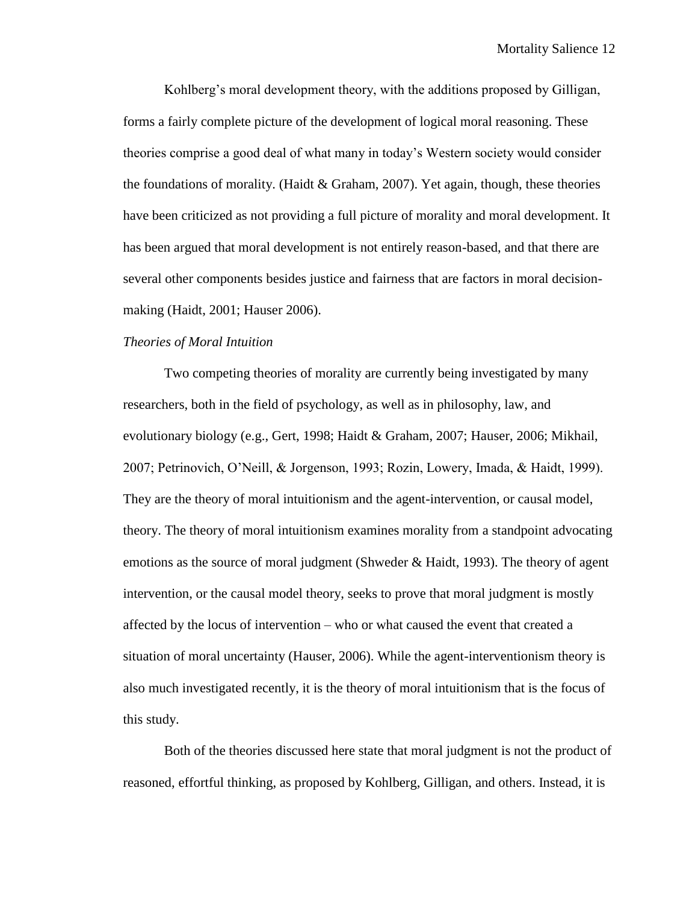Kohlberg's moral development theory, with the additions proposed by Gilligan, forms a fairly complete picture of the development of logical moral reasoning. These theories comprise a good deal of what many in today's Western society would consider the foundations of morality. (Haidt  $&$  Graham, 2007). Yet again, though, these theories have been criticized as not providing a full picture of morality and moral development. It has been argued that moral development is not entirely reason-based, and that there are several other components besides justice and fairness that are factors in moral decisionmaking (Haidt, 2001; Hauser 2006).

#### *Theories of Moral Intuition*

Two competing theories of morality are currently being investigated by many researchers, both in the field of psychology, as well as in philosophy, law, and evolutionary biology (e.g., Gert, 1998; Haidt & Graham, 2007; Hauser, 2006; Mikhail, 2007; Petrinovich, O'Neill, & Jorgenson, 1993; Rozin, Lowery, Imada, & Haidt, 1999). They are the theory of moral intuitionism and the agent-intervention, or causal model, theory. The theory of moral intuitionism examines morality from a standpoint advocating emotions as the source of moral judgment (Shweder & Haidt, 1993). The theory of agent intervention, or the causal model theory, seeks to prove that moral judgment is mostly affected by the locus of intervention – who or what caused the event that created a situation of moral uncertainty (Hauser, 2006). While the agent-interventionism theory is also much investigated recently, it is the theory of moral intuitionism that is the focus of this study.

Both of the theories discussed here state that moral judgment is not the product of reasoned, effortful thinking, as proposed by Kohlberg, Gilligan, and others. Instead, it is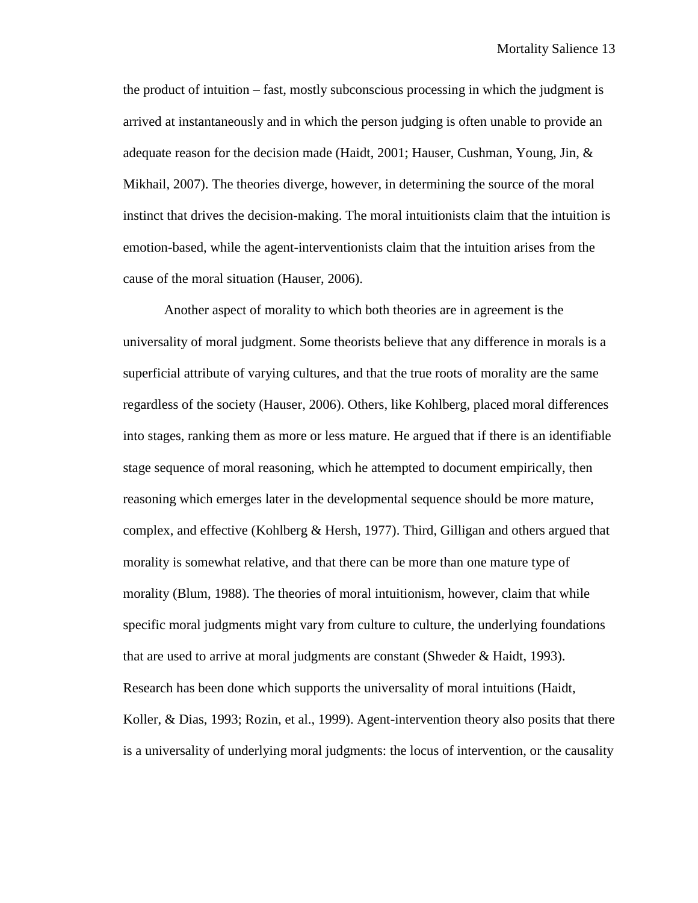the product of intuition – fast, mostly subconscious processing in which the judgment is arrived at instantaneously and in which the person judging is often unable to provide an adequate reason for the decision made (Haidt, 2001; Hauser, Cushman, Young, Jin, & Mikhail, 2007). The theories diverge, however, in determining the source of the moral instinct that drives the decision-making. The moral intuitionists claim that the intuition is emotion-based, while the agent-interventionists claim that the intuition arises from the cause of the moral situation (Hauser, 2006).

Another aspect of morality to which both theories are in agreement is the universality of moral judgment. Some theorists believe that any difference in morals is a superficial attribute of varying cultures, and that the true roots of morality are the same regardless of the society (Hauser, 2006). Others, like Kohlberg, placed moral differences into stages, ranking them as more or less mature. He argued that if there is an identifiable stage sequence of moral reasoning, which he attempted to document empirically, then reasoning which emerges later in the developmental sequence should be more mature, complex, and effective (Kohlberg & Hersh, 1977). Third, Gilligan and others argued that morality is somewhat relative, and that there can be more than one mature type of morality (Blum, 1988). The theories of moral intuitionism, however, claim that while specific moral judgments might vary from culture to culture, the underlying foundations that are used to arrive at moral judgments are constant (Shweder & Haidt, 1993). Research has been done which supports the universality of moral intuitions (Haidt, Koller, & Dias, 1993; Rozin, et al., 1999). Agent-intervention theory also posits that there is a universality of underlying moral judgments: the locus of intervention, or the causality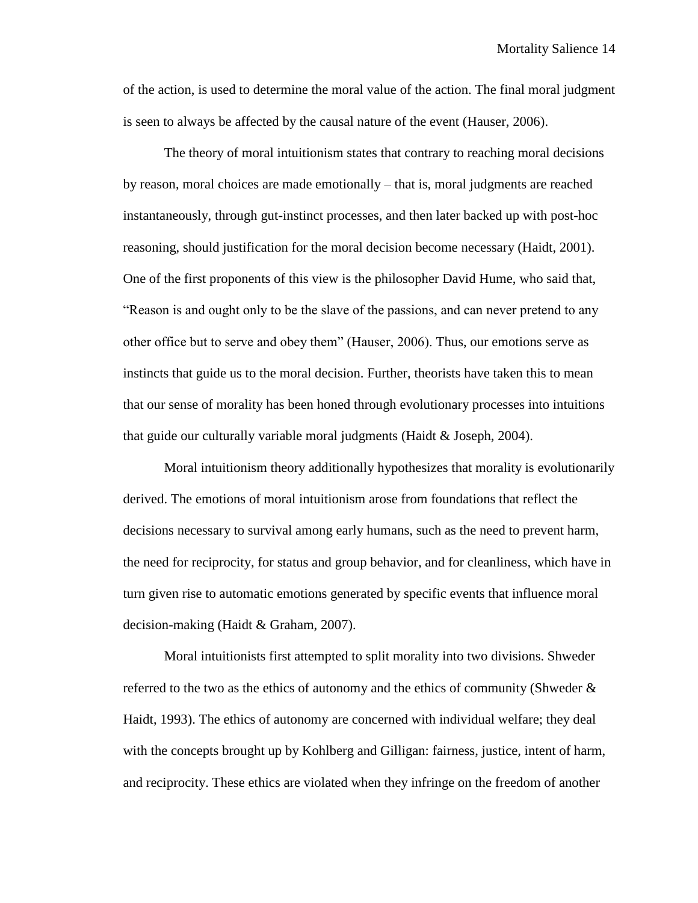of the action, is used to determine the moral value of the action. The final moral judgment is seen to always be affected by the causal nature of the event (Hauser, 2006).

The theory of moral intuitionism states that contrary to reaching moral decisions by reason, moral choices are made emotionally – that is, moral judgments are reached instantaneously, through gut-instinct processes, and then later backed up with post-hoc reasoning, should justification for the moral decision become necessary (Haidt, 2001). One of the first proponents of this view is the philosopher David Hume, who said that, "Reason is and ought only to be the slave of the passions, and can never pretend to any other office but to serve and obey them" (Hauser, 2006). Thus, our emotions serve as instincts that guide us to the moral decision. Further, theorists have taken this to mean that our sense of morality has been honed through evolutionary processes into intuitions that guide our culturally variable moral judgments (Haidt & Joseph, 2004).

Moral intuitionism theory additionally hypothesizes that morality is evolutionarily derived. The emotions of moral intuitionism arose from foundations that reflect the decisions necessary to survival among early humans, such as the need to prevent harm, the need for reciprocity, for status and group behavior, and for cleanliness, which have in turn given rise to automatic emotions generated by specific events that influence moral decision-making (Haidt & Graham, 2007).

Moral intuitionists first attempted to split morality into two divisions. Shweder referred to the two as the ethics of autonomy and the ethics of community (Shweder & Haidt, 1993). The ethics of autonomy are concerned with individual welfare; they deal with the concepts brought up by Kohlberg and Gilligan: fairness, justice, intent of harm, and reciprocity. These ethics are violated when they infringe on the freedom of another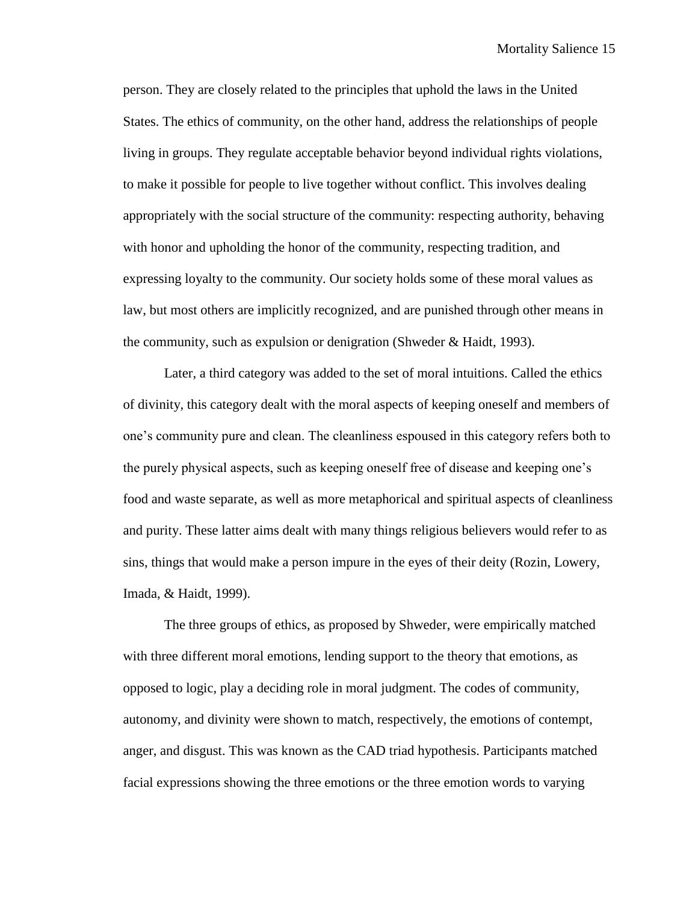person. They are closely related to the principles that uphold the laws in the United States. The ethics of community, on the other hand, address the relationships of people living in groups. They regulate acceptable behavior beyond individual rights violations, to make it possible for people to live together without conflict. This involves dealing appropriately with the social structure of the community: respecting authority, behaving with honor and upholding the honor of the community, respecting tradition, and expressing loyalty to the community. Our society holds some of these moral values as law, but most others are implicitly recognized, and are punished through other means in the community, such as expulsion or denigration (Shweder & Haidt, 1993).

Later, a third category was added to the set of moral intuitions. Called the ethics of divinity, this category dealt with the moral aspects of keeping oneself and members of one's community pure and clean. The cleanliness espoused in this category refers both to the purely physical aspects, such as keeping oneself free of disease and keeping one's food and waste separate, as well as more metaphorical and spiritual aspects of cleanliness and purity. These latter aims dealt with many things religious believers would refer to as sins, things that would make a person impure in the eyes of their deity (Rozin, Lowery, Imada, & Haidt, 1999).

The three groups of ethics, as proposed by Shweder, were empirically matched with three different moral emotions, lending support to the theory that emotions, as opposed to logic, play a deciding role in moral judgment. The codes of community, autonomy, and divinity were shown to match, respectively, the emotions of contempt, anger, and disgust. This was known as the CAD triad hypothesis. Participants matched facial expressions showing the three emotions or the three emotion words to varying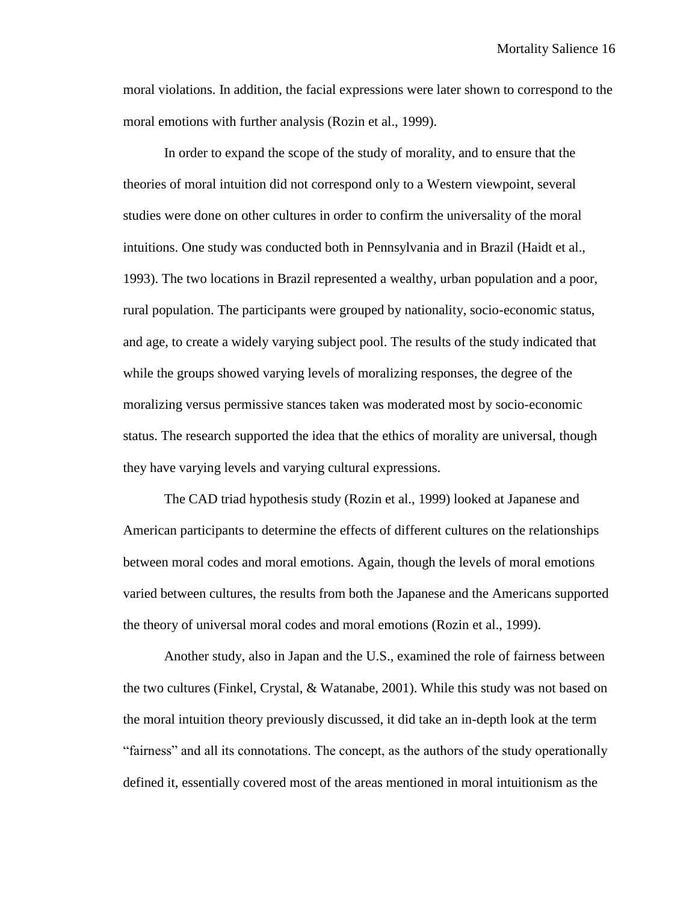moral violations. In addition, the facial expressions were later shown to correspond to the moral emotions with further analysis (Rozin et al., 1999).

In order to expand the scope of the study of morality, and to ensure that the theories of moral intuition did not correspond only to a Western viewpoint, several studies were done on other cultures in order to confirm the universality of the moral intuitions. One study was conducted both in Pennsylvania and in Brazil (Haidt et al., 1993). The two locations in Brazil represented a wealthy, urban population and a poor, rural population. The participants were grouped by nationality, socio-economic status, and age, to create a widely varying subject pool. The results of the study indicated that while the groups showed varying levels of moralizing responses, the degree of the moralizing versus permissive stances taken was moderated most by socio-economic status. The research supported the idea that the ethics of morality are universal, though they have varying levels and varying cultural expressions.

The CAD triad hypothesis study (Rozin et al., 1999) looked at Japanese and American participants to determine the effects of different cultures on the relationships between moral codes and moral emotions. Again, though the levels of moral emotions varied between cultures, the results from both the Japanese and the Americans supported the theory of universal moral codes and moral emotions (Rozin et al., 1999).

Another study, also in Japan and the U.S., examined the role of fairness between the two cultures (Finkel, Crystal, & Watanabe, 2001). While this study was not based on the moral intuition theory previously discussed, it did take an in-depth look at the term "fairness" and all its connotations. The concept, as the authors of the study operationally defined it, essentially covered most of the areas mentioned in moral intuitionism as the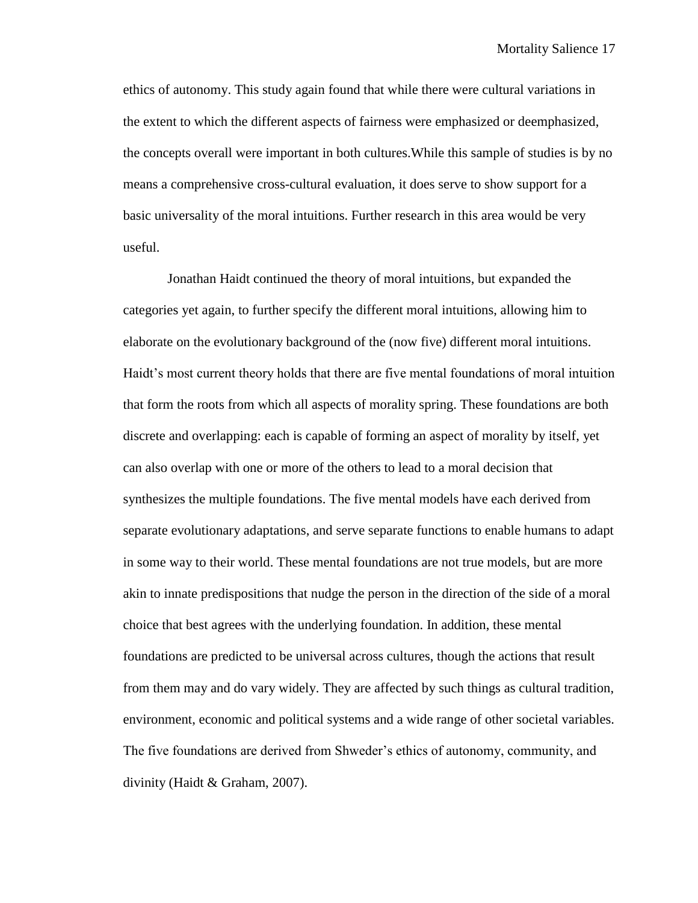ethics of autonomy. This study again found that while there were cultural variations in the extent to which the different aspects of fairness were emphasized or deemphasized, the concepts overall were important in both cultures.While this sample of studies is by no means a comprehensive cross-cultural evaluation, it does serve to show support for a basic universality of the moral intuitions. Further research in this area would be very useful.

Jonathan Haidt continued the theory of moral intuitions, but expanded the categories yet again, to further specify the different moral intuitions, allowing him to elaborate on the evolutionary background of the (now five) different moral intuitions. Haidt's most current theory holds that there are five mental foundations of moral intuition that form the roots from which all aspects of morality spring. These foundations are both discrete and overlapping: each is capable of forming an aspect of morality by itself, yet can also overlap with one or more of the others to lead to a moral decision that synthesizes the multiple foundations. The five mental models have each derived from separate evolutionary adaptations, and serve separate functions to enable humans to adapt in some way to their world. These mental foundations are not true models, but are more akin to innate predispositions that nudge the person in the direction of the side of a moral choice that best agrees with the underlying foundation. In addition, these mental foundations are predicted to be universal across cultures, though the actions that result from them may and do vary widely. They are affected by such things as cultural tradition, environment, economic and political systems and a wide range of other societal variables. The five foundations are derived from Shweder's ethics of autonomy, community, and divinity (Haidt & Graham, 2007).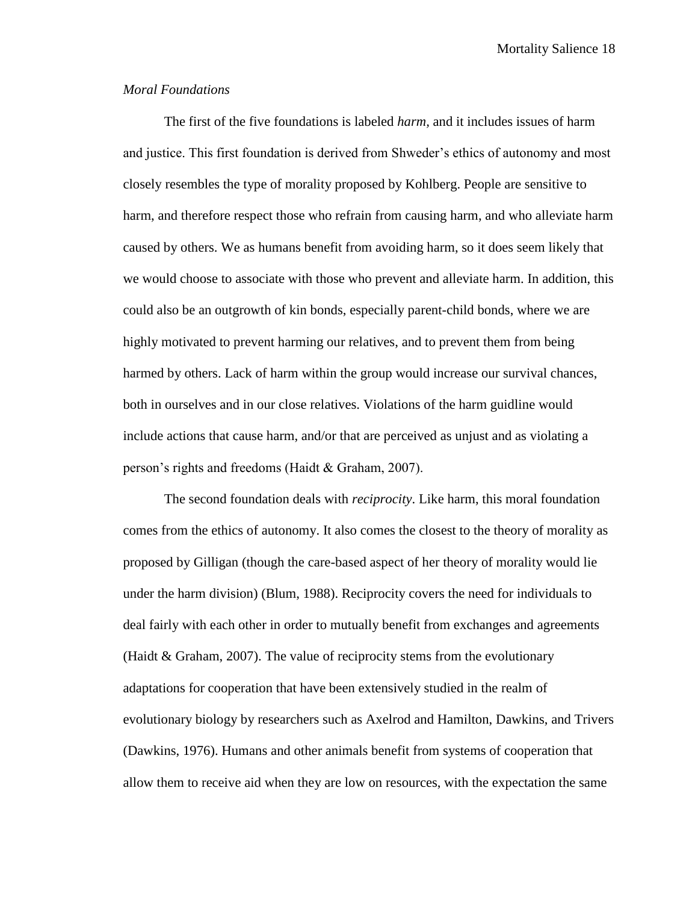Mortality Salience 18

#### *Moral Foundations*

The first of the five foundations is labeled *harm,* and it includes issues of harm and justice. This first foundation is derived from Shweder's ethics of autonomy and most closely resembles the type of morality proposed by Kohlberg. People are sensitive to harm, and therefore respect those who refrain from causing harm, and who alleviate harm caused by others. We as humans benefit from avoiding harm, so it does seem likely that we would choose to associate with those who prevent and alleviate harm. In addition, this could also be an outgrowth of kin bonds, especially parent-child bonds, where we are highly motivated to prevent harming our relatives, and to prevent them from being harmed by others. Lack of harm within the group would increase our survival chances, both in ourselves and in our close relatives. Violations of the harm guidline would include actions that cause harm, and/or that are perceived as unjust and as violating a person's rights and freedoms (Haidt & Graham, 2007).

The second foundation deals with *reciprocity*. Like harm, this moral foundation comes from the ethics of autonomy. It also comes the closest to the theory of morality as proposed by Gilligan (though the care-based aspect of her theory of morality would lie under the harm division) (Blum, 1988). Reciprocity covers the need for individuals to deal fairly with each other in order to mutually benefit from exchanges and agreements (Haidt & Graham, 2007). The value of reciprocity stems from the evolutionary adaptations for cooperation that have been extensively studied in the realm of evolutionary biology by researchers such as Axelrod and Hamilton, Dawkins, and Trivers (Dawkins, 1976). Humans and other animals benefit from systems of cooperation that allow them to receive aid when they are low on resources, with the expectation the same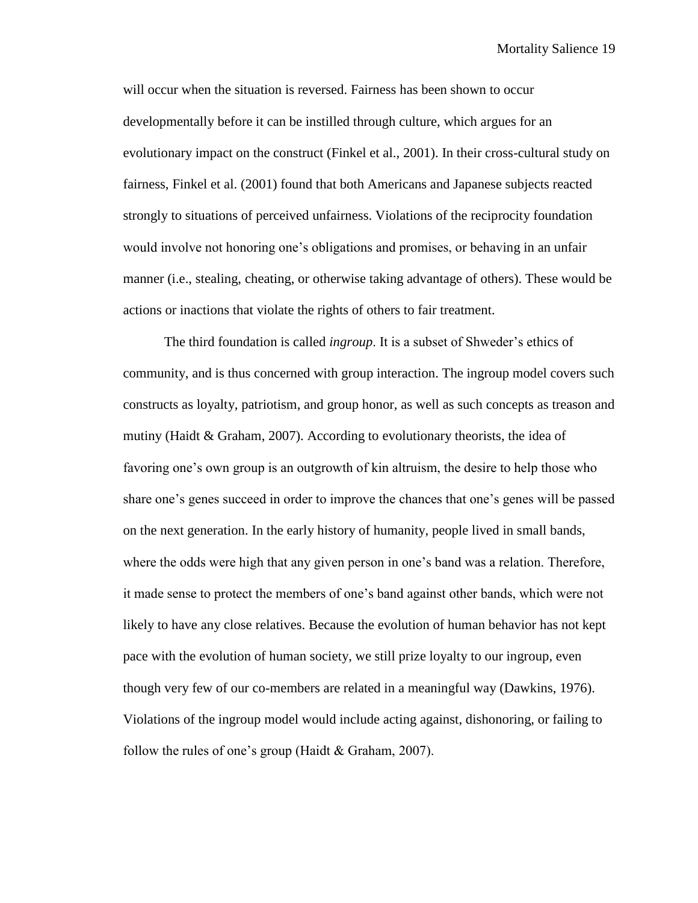will occur when the situation is reversed. Fairness has been shown to occur developmentally before it can be instilled through culture, which argues for an evolutionary impact on the construct (Finkel et al., 2001). In their cross-cultural study on fairness, Finkel et al. (2001) found that both Americans and Japanese subjects reacted strongly to situations of perceived unfairness. Violations of the reciprocity foundation would involve not honoring one's obligations and promises, or behaving in an unfair manner (i.e., stealing, cheating, or otherwise taking advantage of others). These would be actions or inactions that violate the rights of others to fair treatment.

The third foundation is called *ingroup*. It is a subset of Shweder's ethics of community, and is thus concerned with group interaction. The ingroup model covers such constructs as loyalty, patriotism, and group honor, as well as such concepts as treason and mutiny (Haidt & Graham, 2007). According to evolutionary theorists, the idea of favoring one's own group is an outgrowth of kin altruism, the desire to help those who share one's genes succeed in order to improve the chances that one's genes will be passed on the next generation. In the early history of humanity, people lived in small bands, where the odds were high that any given person in one's band was a relation. Therefore, it made sense to protect the members of one's band against other bands, which were not likely to have any close relatives. Because the evolution of human behavior has not kept pace with the evolution of human society, we still prize loyalty to our ingroup, even though very few of our co-members are related in a meaningful way (Dawkins, 1976). Violations of the ingroup model would include acting against, dishonoring, or failing to follow the rules of one's group (Haidt & Graham, 2007).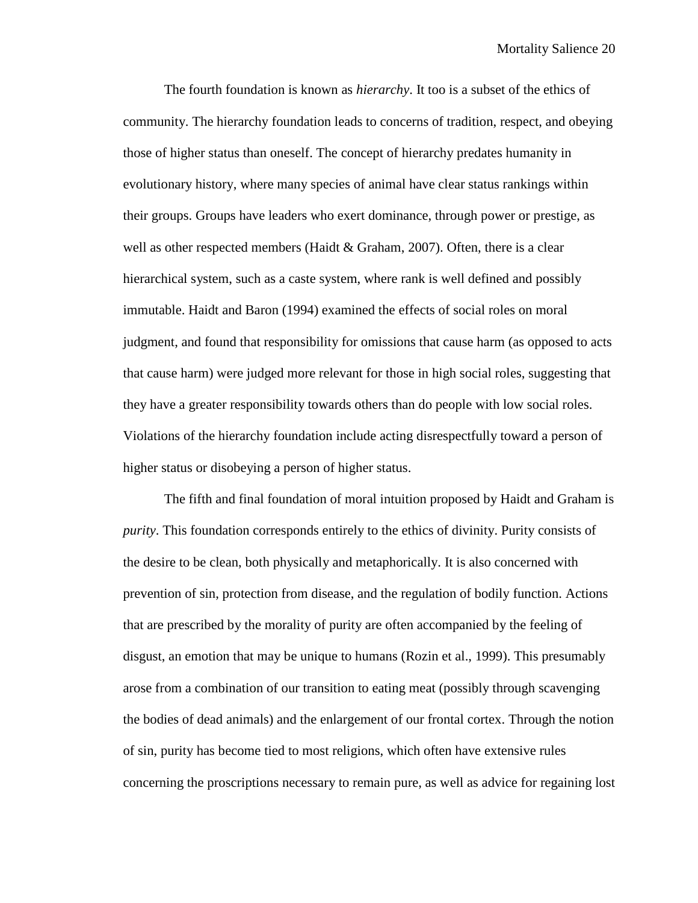The fourth foundation is known as *hierarchy*. It too is a subset of the ethics of community. The hierarchy foundation leads to concerns of tradition, respect, and obeying those of higher status than oneself. The concept of hierarchy predates humanity in evolutionary history, where many species of animal have clear status rankings within their groups. Groups have leaders who exert dominance, through power or prestige, as well as other respected members (Haidt & Graham, 2007). Often, there is a clear hierarchical system, such as a caste system, where rank is well defined and possibly immutable. Haidt and Baron (1994) examined the effects of social roles on moral judgment, and found that responsibility for omissions that cause harm (as opposed to acts that cause harm) were judged more relevant for those in high social roles, suggesting that they have a greater responsibility towards others than do people with low social roles. Violations of the hierarchy foundation include acting disrespectfully toward a person of higher status or disobeying a person of higher status.

The fifth and final foundation of moral intuition proposed by Haidt and Graham is *purity*. This foundation corresponds entirely to the ethics of divinity. Purity consists of the desire to be clean, both physically and metaphorically. It is also concerned with prevention of sin, protection from disease, and the regulation of bodily function. Actions that are prescribed by the morality of purity are often accompanied by the feeling of disgust, an emotion that may be unique to humans (Rozin et al., 1999). This presumably arose from a combination of our transition to eating meat (possibly through scavenging the bodies of dead animals) and the enlargement of our frontal cortex. Through the notion of sin, purity has become tied to most religions, which often have extensive rules concerning the proscriptions necessary to remain pure, as well as advice for regaining lost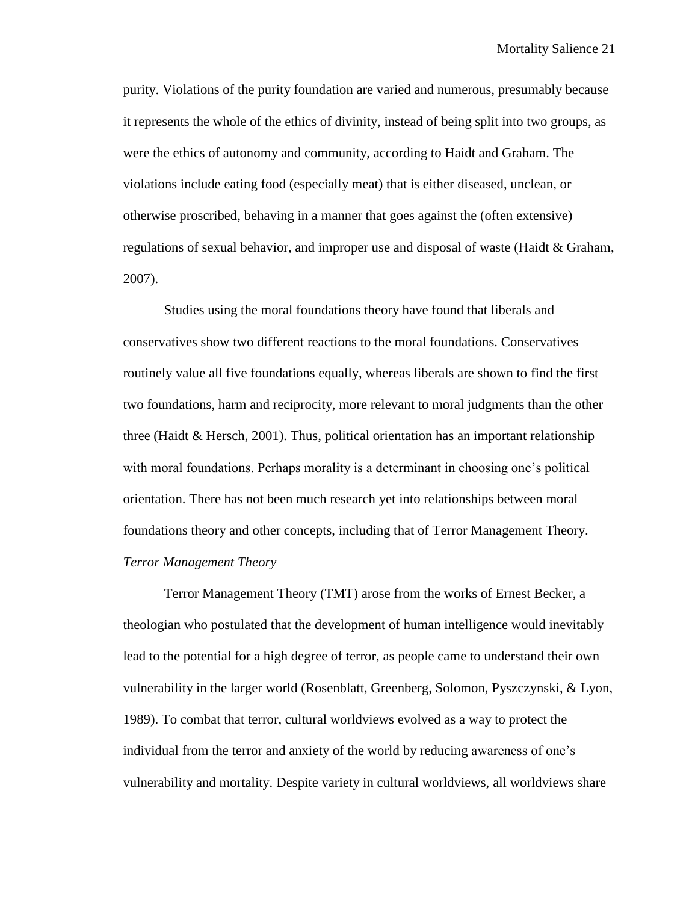purity. Violations of the purity foundation are varied and numerous, presumably because it represents the whole of the ethics of divinity, instead of being split into two groups, as were the ethics of autonomy and community, according to Haidt and Graham. The violations include eating food (especially meat) that is either diseased, unclean, or otherwise proscribed, behaving in a manner that goes against the (often extensive) regulations of sexual behavior, and improper use and disposal of waste (Haidt & Graham, 2007).

Studies using the moral foundations theory have found that liberals and conservatives show two different reactions to the moral foundations. Conservatives routinely value all five foundations equally, whereas liberals are shown to find the first two foundations, harm and reciprocity, more relevant to moral judgments than the other three (Haidt  $\&$  Hersch, 2001). Thus, political orientation has an important relationship with moral foundations. Perhaps morality is a determinant in choosing one's political orientation. There has not been much research yet into relationships between moral foundations theory and other concepts, including that of Terror Management Theory. *Terror Management Theory*

Terror Management Theory (TMT) arose from the works of Ernest Becker, a theologian who postulated that the development of human intelligence would inevitably lead to the potential for a high degree of terror, as people came to understand their own vulnerability in the larger world (Rosenblatt, Greenberg, Solomon, Pyszczynski, & Lyon, 1989). To combat that terror, cultural worldviews evolved as a way to protect the individual from the terror and anxiety of the world by reducing awareness of one's vulnerability and mortality. Despite variety in cultural worldviews, all worldviews share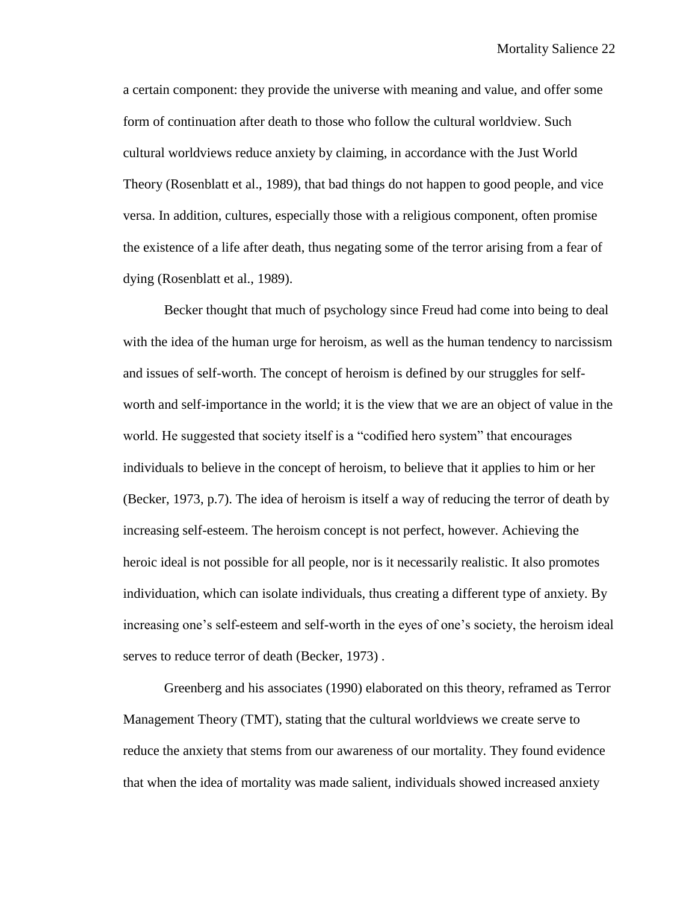a certain component: they provide the universe with meaning and value, and offer some form of continuation after death to those who follow the cultural worldview. Such cultural worldviews reduce anxiety by claiming, in accordance with the Just World Theory (Rosenblatt et al., 1989), that bad things do not happen to good people, and vice versa. In addition, cultures, especially those with a religious component, often promise the existence of a life after death, thus negating some of the terror arising from a fear of dying (Rosenblatt et al., 1989).

Becker thought that much of psychology since Freud had come into being to deal with the idea of the human urge for heroism, as well as the human tendency to narcissism and issues of self-worth. The concept of heroism is defined by our struggles for selfworth and self-importance in the world; it is the view that we are an object of value in the world. He suggested that society itself is a "codified hero system" that encourages individuals to believe in the concept of heroism, to believe that it applies to him or her (Becker, 1973, p.7). The idea of heroism is itself a way of reducing the terror of death by increasing self-esteem. The heroism concept is not perfect, however. Achieving the heroic ideal is not possible for all people, nor is it necessarily realistic. It also promotes individuation, which can isolate individuals, thus creating a different type of anxiety. By increasing one's self-esteem and self-worth in the eyes of one's society, the heroism ideal serves to reduce terror of death (Becker, 1973) .

Greenberg and his associates (1990) elaborated on this theory, reframed as Terror Management Theory (TMT), stating that the cultural worldviews we create serve to reduce the anxiety that stems from our awareness of our mortality. They found evidence that when the idea of mortality was made salient, individuals showed increased anxiety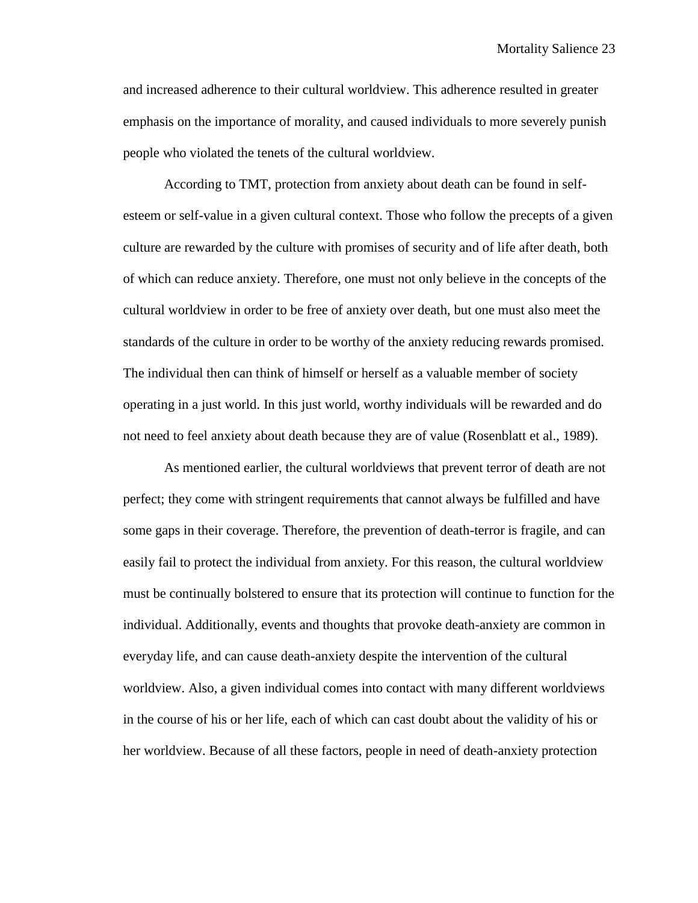Mortality Salience 23

and increased adherence to their cultural worldview. This adherence resulted in greater emphasis on the importance of morality, and caused individuals to more severely punish people who violated the tenets of the cultural worldview.

According to TMT, protection from anxiety about death can be found in selfesteem or self-value in a given cultural context. Those who follow the precepts of a given culture are rewarded by the culture with promises of security and of life after death, both of which can reduce anxiety. Therefore, one must not only believe in the concepts of the cultural worldview in order to be free of anxiety over death, but one must also meet the standards of the culture in order to be worthy of the anxiety reducing rewards promised. The individual then can think of himself or herself as a valuable member of society operating in a just world. In this just world, worthy individuals will be rewarded and do not need to feel anxiety about death because they are of value (Rosenblatt et al., 1989).

As mentioned earlier, the cultural worldviews that prevent terror of death are not perfect; they come with stringent requirements that cannot always be fulfilled and have some gaps in their coverage. Therefore, the prevention of death-terror is fragile, and can easily fail to protect the individual from anxiety. For this reason, the cultural worldview must be continually bolstered to ensure that its protection will continue to function for the individual. Additionally, events and thoughts that provoke death-anxiety are common in everyday life, and can cause death-anxiety despite the intervention of the cultural worldview. Also, a given individual comes into contact with many different worldviews in the course of his or her life, each of which can cast doubt about the validity of his or her worldview. Because of all these factors, people in need of death-anxiety protection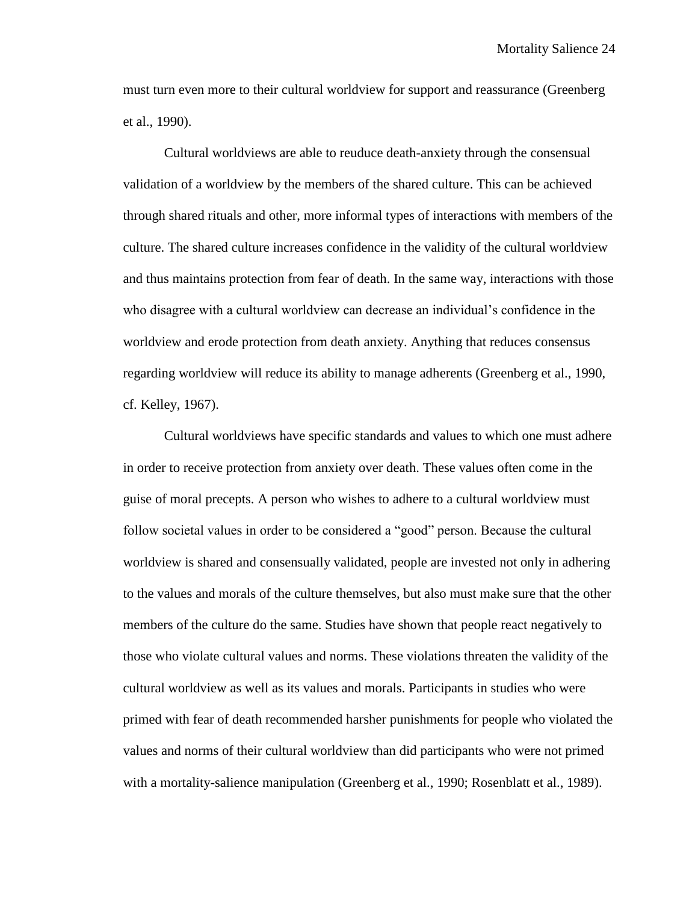must turn even more to their cultural worldview for support and reassurance (Greenberg et al., 1990).

Cultural worldviews are able to reuduce death-anxiety through the consensual validation of a worldview by the members of the shared culture. This can be achieved through shared rituals and other, more informal types of interactions with members of the culture. The shared culture increases confidence in the validity of the cultural worldview and thus maintains protection from fear of death. In the same way, interactions with those who disagree with a cultural worldview can decrease an individual's confidence in the worldview and erode protection from death anxiety. Anything that reduces consensus regarding worldview will reduce its ability to manage adherents (Greenberg et al., 1990, cf. Kelley, 1967).

Cultural worldviews have specific standards and values to which one must adhere in order to receive protection from anxiety over death. These values often come in the guise of moral precepts. A person who wishes to adhere to a cultural worldview must follow societal values in order to be considered a "good" person. Because the cultural worldview is shared and consensually validated, people are invested not only in adhering to the values and morals of the culture themselves, but also must make sure that the other members of the culture do the same. Studies have shown that people react negatively to those who violate cultural values and norms. These violations threaten the validity of the cultural worldview as well as its values and morals. Participants in studies who were primed with fear of death recommended harsher punishments for people who violated the values and norms of their cultural worldview than did participants who were not primed with a mortality-salience manipulation (Greenberg et al., 1990; Rosenblatt et al., 1989).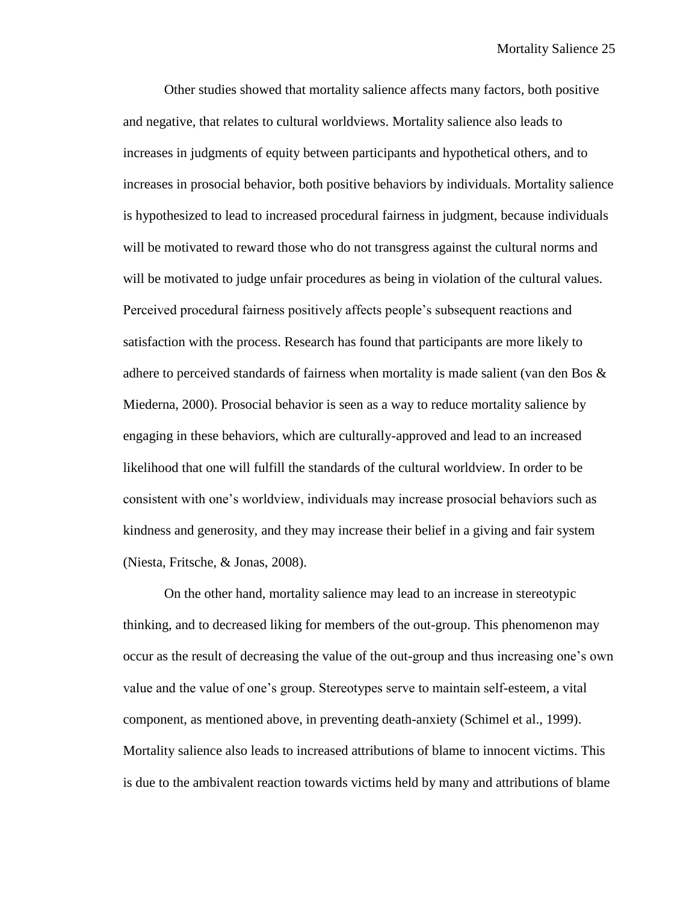Other studies showed that mortality salience affects many factors, both positive and negative, that relates to cultural worldviews. Mortality salience also leads to increases in judgments of equity between participants and hypothetical others, and to increases in prosocial behavior, both positive behaviors by individuals. Mortality salience is hypothesized to lead to increased procedural fairness in judgment, because individuals will be motivated to reward those who do not transgress against the cultural norms and will be motivated to judge unfair procedures as being in violation of the cultural values. Perceived procedural fairness positively affects people's subsequent reactions and satisfaction with the process. Research has found that participants are more likely to adhere to perceived standards of fairness when mortality is made salient (van den Bos  $\&$ Miederna, 2000). Prosocial behavior is seen as a way to reduce mortality salience by engaging in these behaviors, which are culturally-approved and lead to an increased likelihood that one will fulfill the standards of the cultural worldview. In order to be consistent with one's worldview, individuals may increase prosocial behaviors such as kindness and generosity, and they may increase their belief in a giving and fair system (Niesta, Fritsche, & Jonas, 2008).

On the other hand, mortality salience may lead to an increase in stereotypic thinking, and to decreased liking for members of the out-group. This phenomenon may occur as the result of decreasing the value of the out-group and thus increasing one's own value and the value of one's group. Stereotypes serve to maintain self-esteem, a vital component, as mentioned above, in preventing death-anxiety (Schimel et al., 1999). Mortality salience also leads to increased attributions of blame to innocent victims. This is due to the ambivalent reaction towards victims held by many and attributions of blame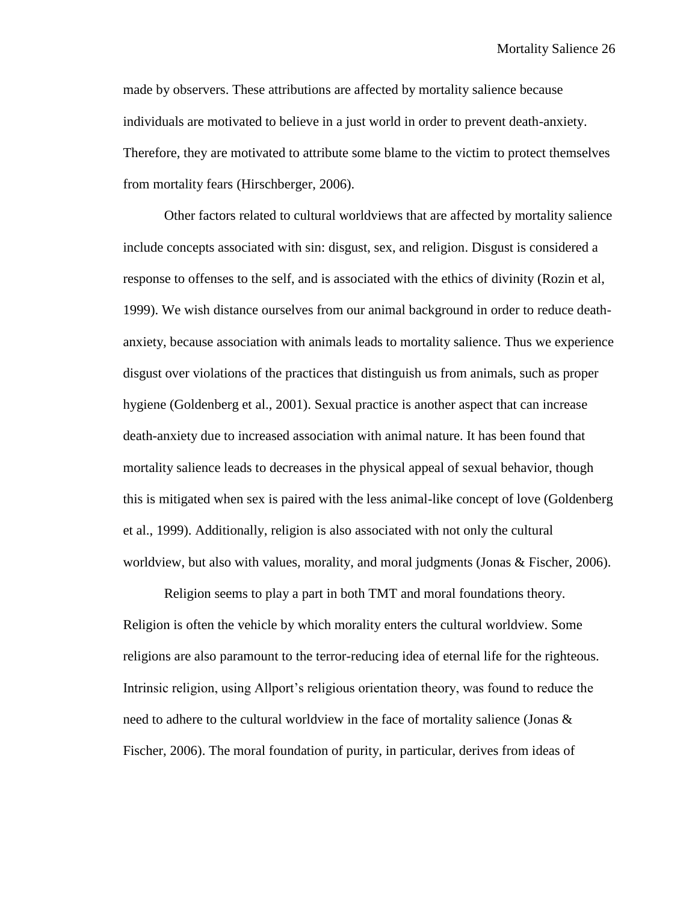made by observers. These attributions are affected by mortality salience because individuals are motivated to believe in a just world in order to prevent death-anxiety. Therefore, they are motivated to attribute some blame to the victim to protect themselves from mortality fears (Hirschberger, 2006).

Other factors related to cultural worldviews that are affected by mortality salience include concepts associated with sin: disgust, sex, and religion. Disgust is considered a response to offenses to the self, and is associated with the ethics of divinity (Rozin et al, 1999). We wish distance ourselves from our animal background in order to reduce deathanxiety, because association with animals leads to mortality salience. Thus we experience disgust over violations of the practices that distinguish us from animals, such as proper hygiene (Goldenberg et al., 2001). Sexual practice is another aspect that can increase death-anxiety due to increased association with animal nature. It has been found that mortality salience leads to decreases in the physical appeal of sexual behavior, though this is mitigated when sex is paired with the less animal-like concept of love (Goldenberg et al., 1999). Additionally, religion is also associated with not only the cultural worldview, but also with values, morality, and moral judgments (Jonas & Fischer, 2006).

Religion seems to play a part in both TMT and moral foundations theory. Religion is often the vehicle by which morality enters the cultural worldview. Some religions are also paramount to the terror-reducing idea of eternal life for the righteous. Intrinsic religion, using Allport's religious orientation theory, was found to reduce the need to adhere to the cultural worldview in the face of mortality salience (Jonas & Fischer, 2006). The moral foundation of purity, in particular, derives from ideas of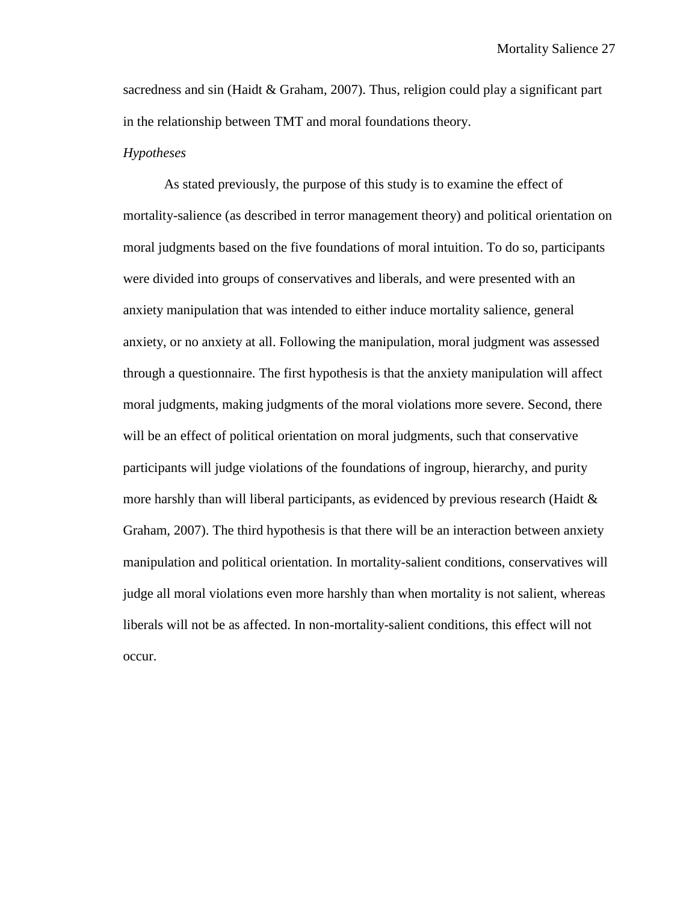sacredness and sin (Haidt  $&$  Graham, 2007). Thus, religion could play a significant part in the relationship between TMT and moral foundations theory.

#### *Hypotheses*

As stated previously, the purpose of this study is to examine the effect of mortality-salience (as described in terror management theory) and political orientation on moral judgments based on the five foundations of moral intuition. To do so, participants were divided into groups of conservatives and liberals, and were presented with an anxiety manipulation that was intended to either induce mortality salience, general anxiety, or no anxiety at all. Following the manipulation, moral judgment was assessed through a questionnaire. The first hypothesis is that the anxiety manipulation will affect moral judgments, making judgments of the moral violations more severe. Second, there will be an effect of political orientation on moral judgments, such that conservative participants will judge violations of the foundations of ingroup, hierarchy, and purity more harshly than will liberal participants, as evidenced by previous research (Haidt  $\&$ Graham, 2007). The third hypothesis is that there will be an interaction between anxiety manipulation and political orientation. In mortality-salient conditions, conservatives will judge all moral violations even more harshly than when mortality is not salient, whereas liberals will not be as affected. In non-mortality-salient conditions, this effect will not occur.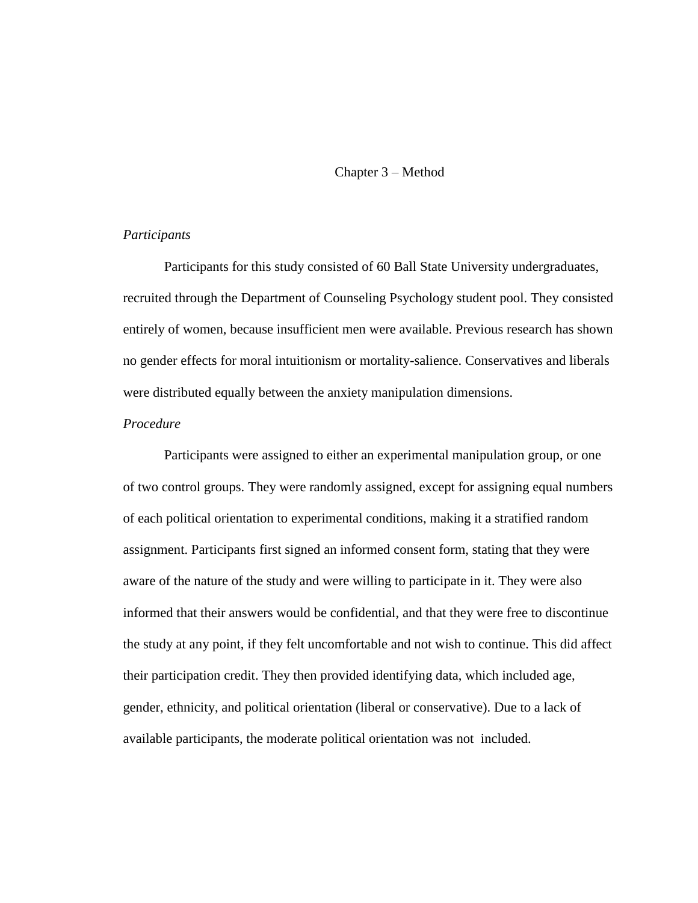#### Chapter 3 – Method

#### *Participants*

Participants for this study consisted of 60 Ball State University undergraduates, recruited through the Department of Counseling Psychology student pool. They consisted entirely of women, because insufficient men were available. Previous research has shown no gender effects for moral intuitionism or mortality-salience. Conservatives and liberals were distributed equally between the anxiety manipulation dimensions.

#### *Procedure*

Participants were assigned to either an experimental manipulation group, or one of two control groups. They were randomly assigned, except for assigning equal numbers of each political orientation to experimental conditions, making it a stratified random assignment. Participants first signed an informed consent form, stating that they were aware of the nature of the study and were willing to participate in it. They were also informed that their answers would be confidential, and that they were free to discontinue the study at any point, if they felt uncomfortable and not wish to continue. This did affect their participation credit. They then provided identifying data, which included age, gender, ethnicity, and political orientation (liberal or conservative). Due to a lack of available participants, the moderate political orientation was not included.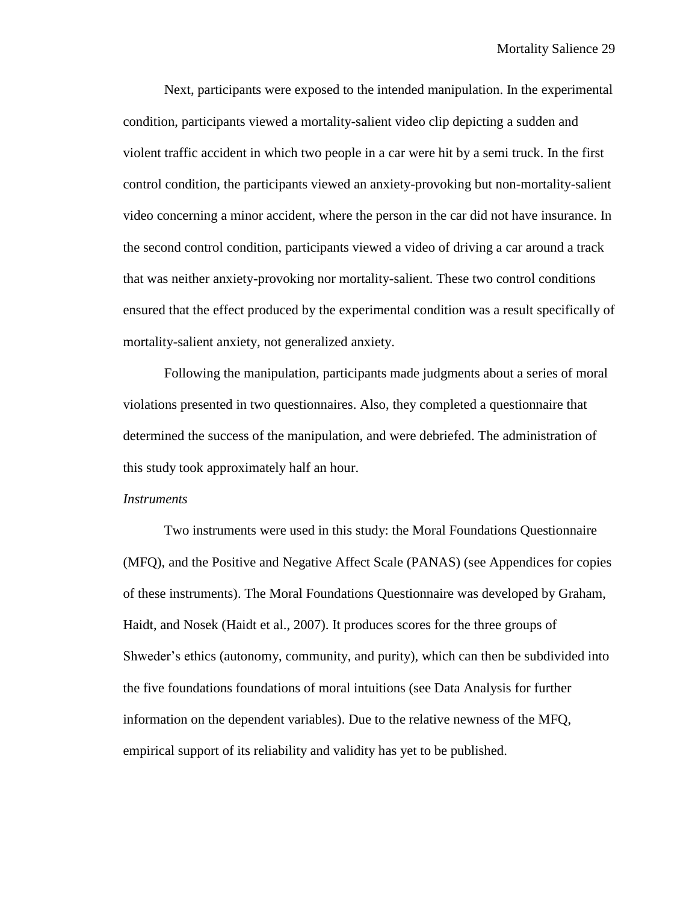Next, participants were exposed to the intended manipulation. In the experimental condition, participants viewed a mortality-salient video clip depicting a sudden and violent traffic accident in which two people in a car were hit by a semi truck. In the first control condition, the participants viewed an anxiety-provoking but non-mortality-salient video concerning a minor accident, where the person in the car did not have insurance. In the second control condition, participants viewed a video of driving a car around a track that was neither anxiety-provoking nor mortality-salient. These two control conditions ensured that the effect produced by the experimental condition was a result specifically of mortality-salient anxiety, not generalized anxiety.

Following the manipulation, participants made judgments about a series of moral violations presented in two questionnaires. Also, they completed a questionnaire that determined the success of the manipulation, and were debriefed. The administration of this study took approximately half an hour.

#### *Instruments*

Two instruments were used in this study: the Moral Foundations Questionnaire (MFQ), and the Positive and Negative Affect Scale (PANAS) (see Appendices for copies of these instruments). The Moral Foundations Questionnaire was developed by Graham, Haidt, and Nosek (Haidt et al., 2007). It produces scores for the three groups of Shweder's ethics (autonomy, community, and purity), which can then be subdivided into the five foundations foundations of moral intuitions (see Data Analysis for further information on the dependent variables). Due to the relative newness of the MFQ, empirical support of its reliability and validity has yet to be published.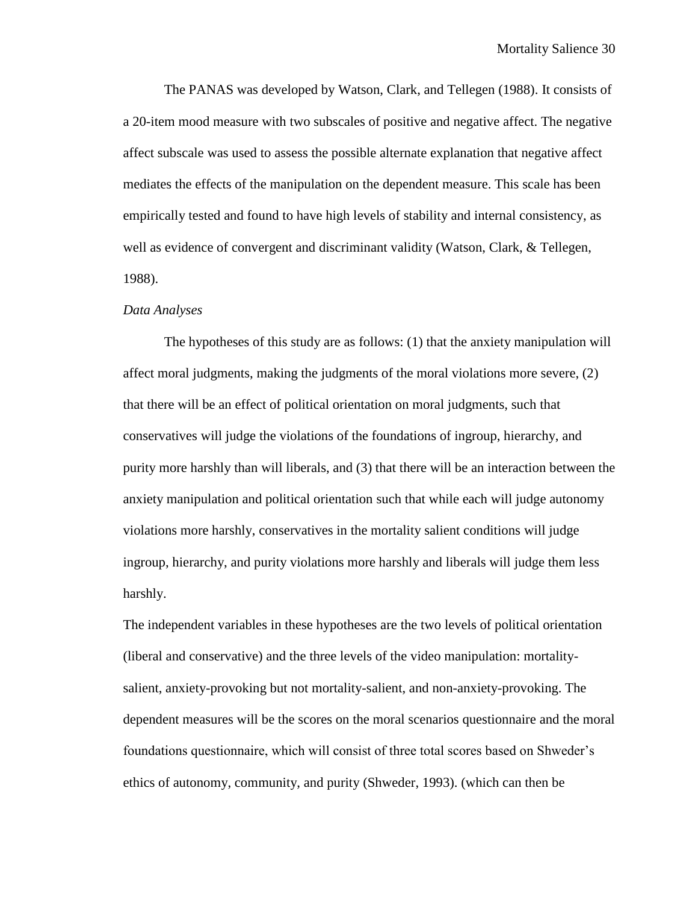The PANAS was developed by Watson, Clark, and Tellegen (1988). It consists of a 20-item mood measure with two subscales of positive and negative affect. The negative affect subscale was used to assess the possible alternate explanation that negative affect mediates the effects of the manipulation on the dependent measure. This scale has been empirically tested and found to have high levels of stability and internal consistency, as well as evidence of convergent and discriminant validity (Watson, Clark, & Tellegen, 1988).

#### *Data Analyses*

The hypotheses of this study are as follows: (1) that the anxiety manipulation will affect moral judgments, making the judgments of the moral violations more severe, (2) that there will be an effect of political orientation on moral judgments, such that conservatives will judge the violations of the foundations of ingroup, hierarchy, and purity more harshly than will liberals, and (3) that there will be an interaction between the anxiety manipulation and political orientation such that while each will judge autonomy violations more harshly, conservatives in the mortality salient conditions will judge ingroup, hierarchy, and purity violations more harshly and liberals will judge them less harshly.

The independent variables in these hypotheses are the two levels of political orientation (liberal and conservative) and the three levels of the video manipulation: mortalitysalient, anxiety-provoking but not mortality-salient, and non-anxiety-provoking. The dependent measures will be the scores on the moral scenarios questionnaire and the moral foundations questionnaire, which will consist of three total scores based on Shweder's ethics of autonomy, community, and purity (Shweder, 1993). (which can then be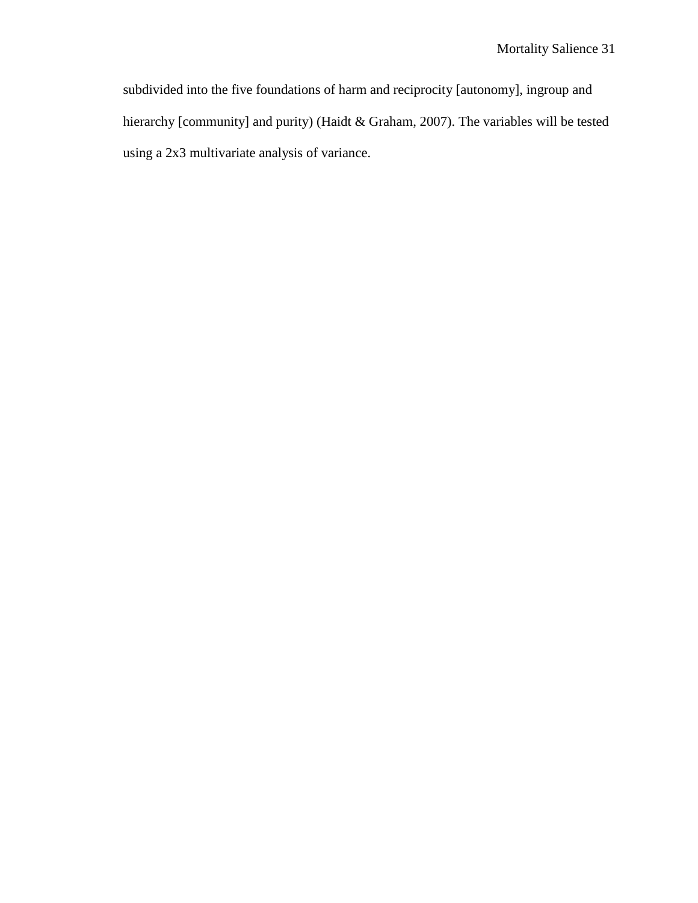subdivided into the five foundations of harm and reciprocity [autonomy], ingroup and hierarchy [community] and purity) (Haidt & Graham, 2007). The variables will be tested using a 2x3 multivariate analysis of variance.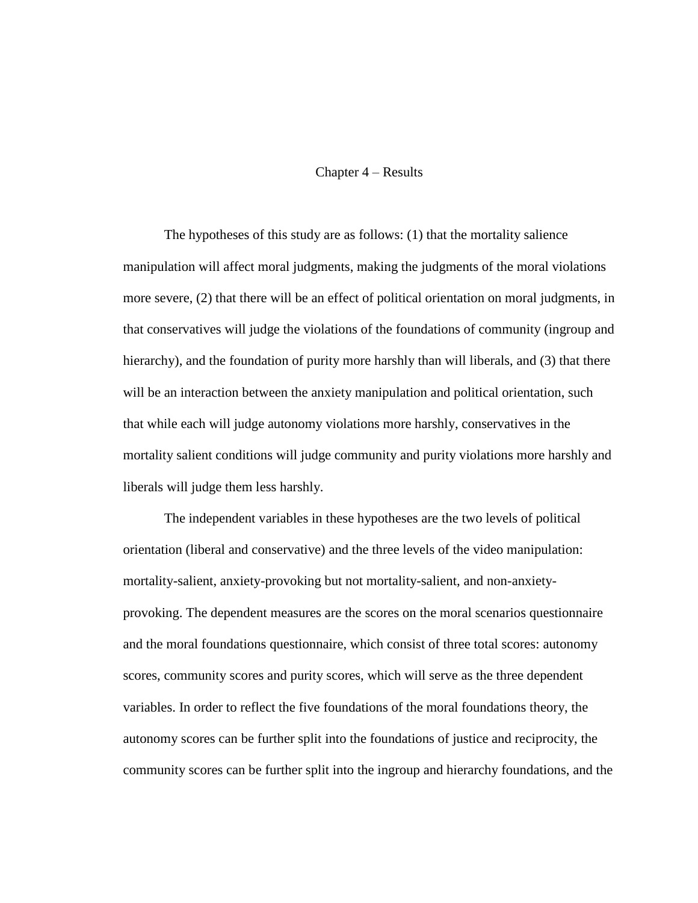#### Chapter 4 – Results

The hypotheses of this study are as follows: (1) that the mortality salience manipulation will affect moral judgments, making the judgments of the moral violations more severe, (2) that there will be an effect of political orientation on moral judgments, in that conservatives will judge the violations of the foundations of community (ingroup and hierarchy), and the foundation of purity more harshly than will liberals, and (3) that there will be an interaction between the anxiety manipulation and political orientation, such that while each will judge autonomy violations more harshly, conservatives in the mortality salient conditions will judge community and purity violations more harshly and liberals will judge them less harshly.

The independent variables in these hypotheses are the two levels of political orientation (liberal and conservative) and the three levels of the video manipulation: mortality-salient, anxiety-provoking but not mortality-salient, and non-anxietyprovoking. The dependent measures are the scores on the moral scenarios questionnaire and the moral foundations questionnaire, which consist of three total scores: autonomy scores, community scores and purity scores, which will serve as the three dependent variables. In order to reflect the five foundations of the moral foundations theory, the autonomy scores can be further split into the foundations of justice and reciprocity, the community scores can be further split into the ingroup and hierarchy foundations, and the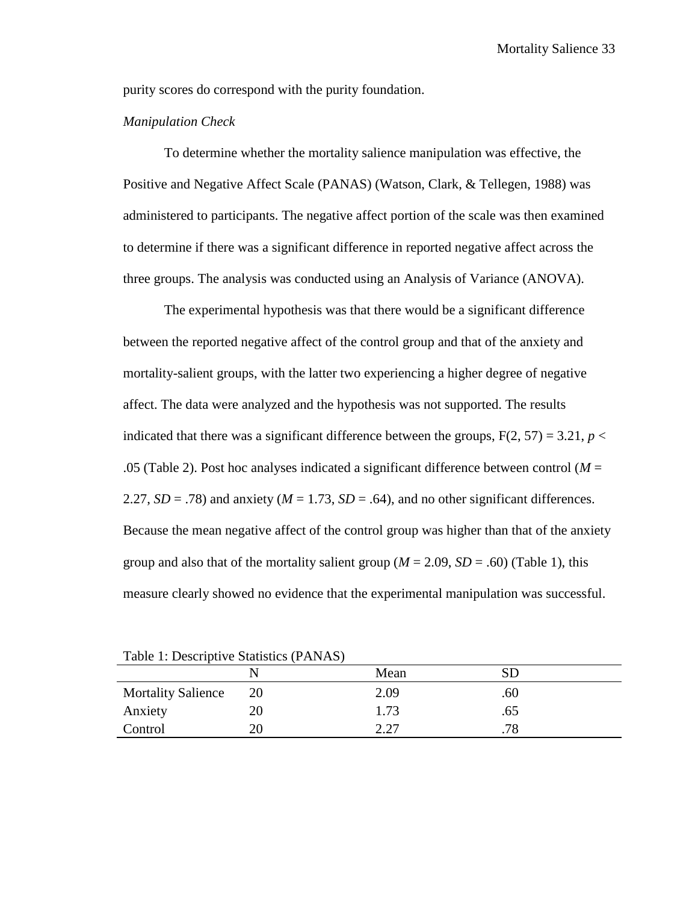purity scores do correspond with the purity foundation.

#### *Manipulation Check*

To determine whether the mortality salience manipulation was effective, the Positive and Negative Affect Scale (PANAS) (Watson, Clark, & Tellegen, 1988) was administered to participants. The negative affect portion of the scale was then examined to determine if there was a significant difference in reported negative affect across the three groups. The analysis was conducted using an Analysis of Variance (ANOVA).

The experimental hypothesis was that there would be a significant difference between the reported negative affect of the control group and that of the anxiety and mortality-salient groups, with the latter two experiencing a higher degree of negative affect. The data were analyzed and the hypothesis was not supported. The results indicated that there was a significant difference between the groups,  $F(2, 57) = 3.21$ ,  $p <$ .05 (Table 2). Post hoc analyses indicated a significant difference between control ( $M =$ 2.27,  $SD = .78$ ) and anxiety ( $M = 1.73$ ,  $SD = .64$ ), and no other significant differences. Because the mean negative affect of the control group was higher than that of the anxiety group and also that of the mortality salient group ( $M = 2.09$ ,  $SD = .60$ ) (Table 1), this measure clearly showed no evidence that the experimental manipulation was successful.

|                           |    | Mean |     |
|---------------------------|----|------|-----|
| <b>Mortality Salience</b> | 20 | 2.09 | .60 |
| Anxiety                   |    | 1.73 | .65 |
| Control                   |    | າ າາ | .78 |

Table 1: Descriptive Statistics (PANAS)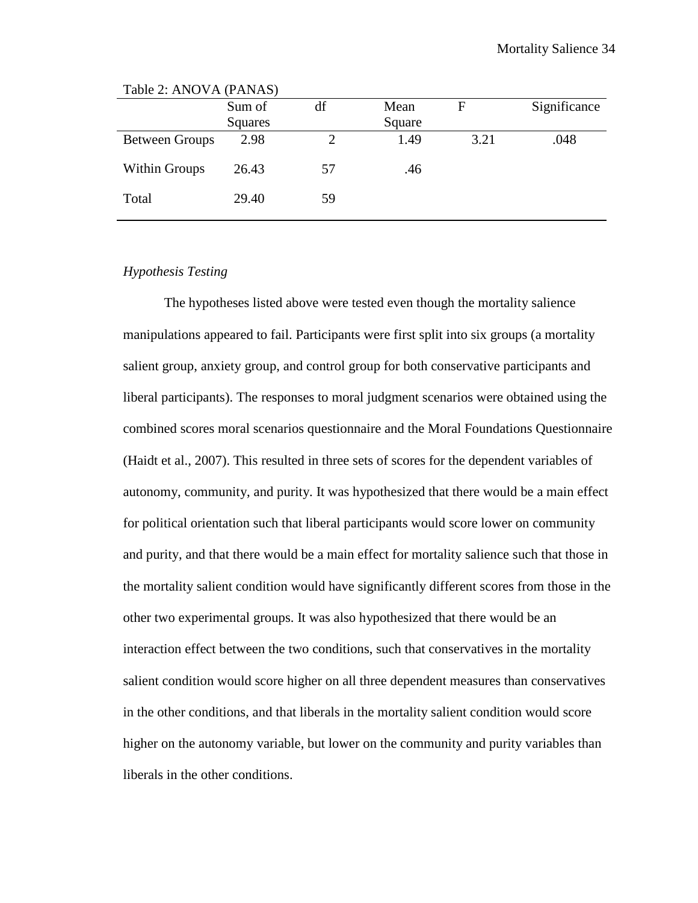| Significance<br>F<br>Square |
|-----------------------------|
|                             |
|                             |
| 1.49<br>3.21<br>.048        |
| .46                         |
|                             |
|                             |

Table 2: ANOVA (PANAS)

### *Hypothesis Testing*

The hypotheses listed above were tested even though the mortality salience manipulations appeared to fail. Participants were first split into six groups (a mortality salient group, anxiety group, and control group for both conservative participants and liberal participants). The responses to moral judgment scenarios were obtained using the combined scores moral scenarios questionnaire and the Moral Foundations Questionnaire (Haidt et al., 2007). This resulted in three sets of scores for the dependent variables of autonomy, community, and purity. It was hypothesized that there would be a main effect for political orientation such that liberal participants would score lower on community and purity, and that there would be a main effect for mortality salience such that those in the mortality salient condition would have significantly different scores from those in the other two experimental groups. It was also hypothesized that there would be an interaction effect between the two conditions, such that conservatives in the mortality salient condition would score higher on all three dependent measures than conservatives in the other conditions, and that liberals in the mortality salient condition would score higher on the autonomy variable, but lower on the community and purity variables than liberals in the other conditions.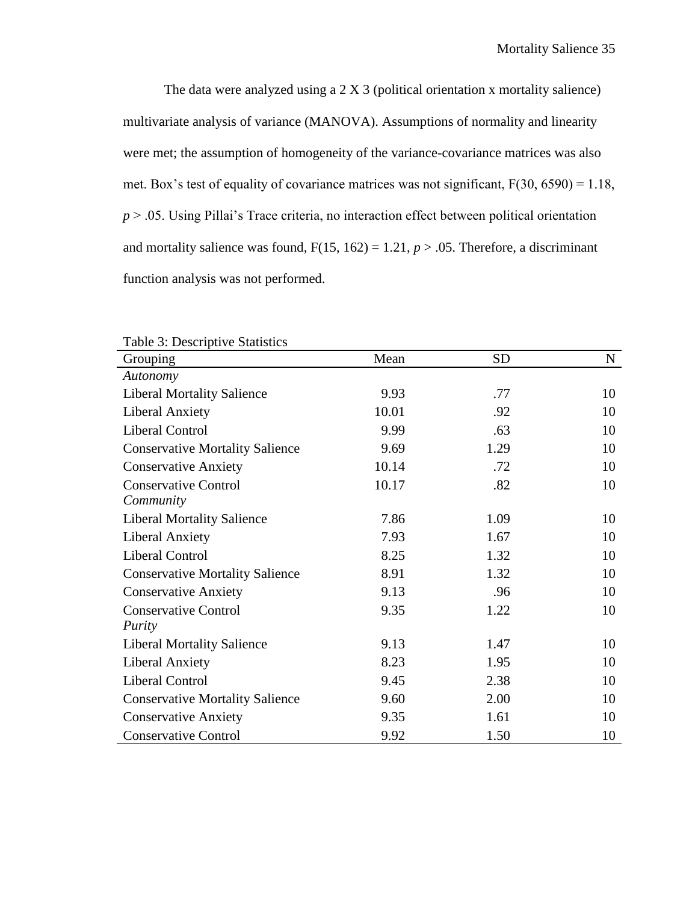The data were analyzed using a 2 X 3 (political orientation x mortality salience) multivariate analysis of variance (MANOVA). Assumptions of normality and linearity were met; the assumption of homogeneity of the variance-covariance matrices was also met. Box's test of equality of covariance matrices was not significant, F(30, 6590) = 1.18, *p* > .05. Using Pillai's Trace criteria, no interaction effect between political orientation and mortality salience was found,  $F(15, 162) = 1.21$ ,  $p > .05$ . Therefore, a discriminant function analysis was not performed.

| Table 5. Descriptive Statistics        |       |           |    |
|----------------------------------------|-------|-----------|----|
| Grouping                               | Mean  | <b>SD</b> | N  |
| Autonomy                               |       |           |    |
| <b>Liberal Mortality Salience</b>      | 9.93  | .77       | 10 |
| <b>Liberal Anxiety</b>                 | 10.01 | .92       | 10 |
| <b>Liberal Control</b>                 | 9.99  | .63       | 10 |
| <b>Conservative Mortality Salience</b> | 9.69  | 1.29      | 10 |
| <b>Conservative Anxiety</b>            | 10.14 | .72       | 10 |
| <b>Conservative Control</b>            | 10.17 | .82       | 10 |
| Community                              |       |           |    |
| <b>Liberal Mortality Salience</b>      | 7.86  | 1.09      | 10 |
| <b>Liberal Anxiety</b>                 | 7.93  | 1.67      | 10 |
| <b>Liberal Control</b>                 | 8.25  | 1.32      | 10 |
| <b>Conservative Mortality Salience</b> | 8.91  | 1.32      | 10 |
| <b>Conservative Anxiety</b>            | 9.13  | .96       | 10 |
| <b>Conservative Control</b>            | 9.35  | 1.22      | 10 |
| <i>Purity</i>                          |       |           |    |
| <b>Liberal Mortality Salience</b>      | 9.13  | 1.47      | 10 |
| <b>Liberal Anxiety</b>                 | 8.23  | 1.95      | 10 |
| <b>Liberal Control</b>                 | 9.45  | 2.38      | 10 |
| <b>Conservative Mortality Salience</b> | 9.60  | 2.00      | 10 |
| <b>Conservative Anxiety</b>            | 9.35  | 1.61      | 10 |
| <b>Conservative Control</b>            | 9.92  | 1.50      | 10 |

Table 3: Descriptive Statistics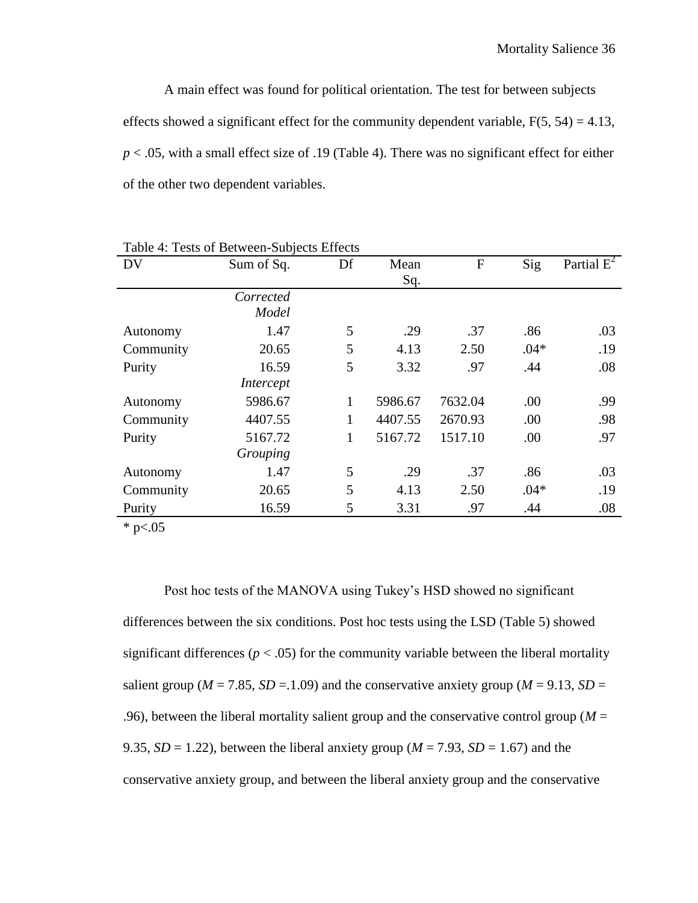A main effect was found for political orientation. The test for between subjects effects showed a significant effect for the community dependent variable,  $F(5, 54) = 4.13$ , *p* < .05, with a small effect size of .19 (Table 4). There was no significant effect for either of the other two dependent variables.

| <b>DV</b> | Sum of Sq.       | Df           | Mean    | $\mathbf{F}$ | Sig    | Partial $E^2$ |
|-----------|------------------|--------------|---------|--------------|--------|---------------|
|           |                  |              | Sq.     |              |        |               |
|           | Corrected        |              |         |              |        |               |
|           | Model            |              |         |              |        |               |
| Autonomy  | 1.47             | 5            | .29     | .37          | .86    | .03           |
| Community | 20.65            | 5            | 4.13    | 2.50         | $.04*$ | .19           |
| Purity    | 16.59            | 5            | 3.32    | .97          | .44    | .08           |
|           | <i>Intercept</i> |              |         |              |        |               |
| Autonomy  | 5986.67          | 1            | 5986.67 | 7632.04      | .00    | .99           |
| Community | 4407.55          | $\mathbf{1}$ | 4407.55 | 2670.93      | .00    | .98           |
| Purity    | 5167.72          | 1            | 5167.72 | 1517.10      | .00    | .97           |
|           | Grouping         |              |         |              |        |               |
| Autonomy  | 1.47             | 5            | .29     | .37          | .86    | .03           |
| Community | 20.65            | 5            | 4.13    | 2.50         | $.04*$ | .19           |
| Purity    | 16.59            | 5            | 3.31    | .97          | .44    | .08           |

Table 4: Tests of Between-Subjects Effects

 $*$  p<.05

Post hoc tests of the MANOVA using Tukey's HSD showed no significant differences between the six conditions. Post hoc tests using the LSD (Table 5) showed significant differences ( $p < .05$ ) for the community variable between the liberal mortality salient group ( $M = 7.85$ ,  $SD = 1.09$ ) and the conservative anxiety group ( $M = 9.13$ ,  $SD =$ .96), between the liberal mortality salient group and the conservative control group ( $M =$ 9.35,  $SD = 1.22$ ), between the liberal anxiety group ( $M = 7.93$ ,  $SD = 1.67$ ) and the conservative anxiety group, and between the liberal anxiety group and the conservative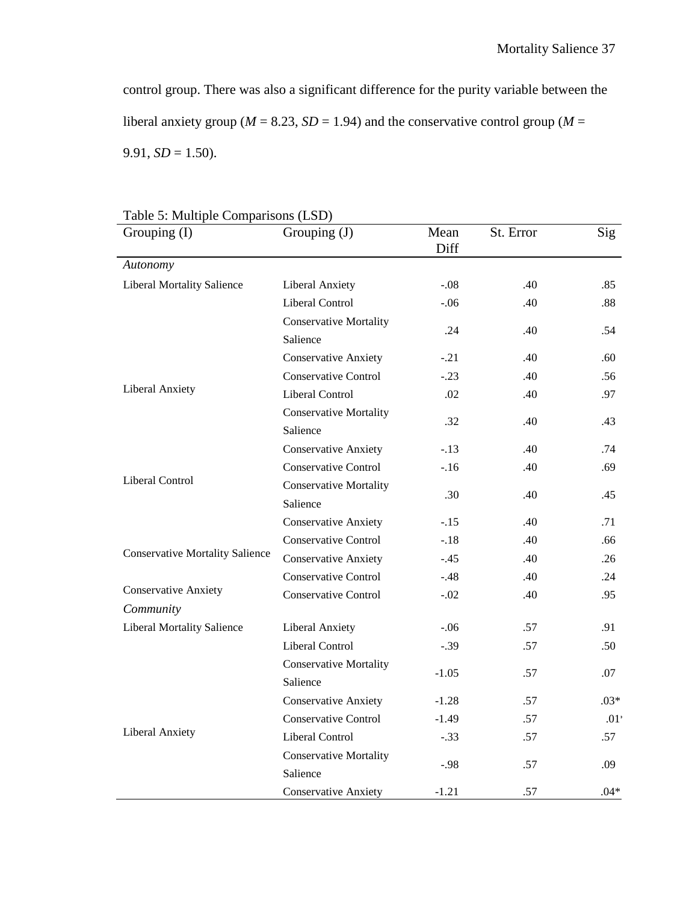control group. There was also a significant difference for the purity variable between the liberal anxiety group ( $M = 8.23$ ,  $SD = 1.94$ ) and the conservative control group ( $M =$ 9.91,  $SD = 1.50$ ).

| Grouping (I)                           | Grouping (J)                              | Mean<br>Diff | St. Error | Sig    |
|----------------------------------------|-------------------------------------------|--------------|-----------|--------|
| Autonomy                               |                                           |              |           |        |
| <b>Liberal Mortality Salience</b>      | <b>Liberal Anxiety</b>                    | $-.08$       | .40       | .85    |
|                                        | <b>Liberal Control</b>                    | $-.06$       | .40       | .88    |
|                                        | <b>Conservative Mortality</b>             | .24          | .40       | .54    |
|                                        | Salience                                  |              |           |        |
|                                        | <b>Conservative Anxiety</b>               | $-.21$       | .40       | .60    |
|                                        | <b>Conservative Control</b>               | $-.23$       | .40       | .56    |
| <b>Liberal Anxiety</b>                 | <b>Liberal Control</b>                    | .02          | .40       | .97    |
|                                        | <b>Conservative Mortality</b><br>Salience | .32          | .40       | .43    |
|                                        | <b>Conservative Anxiety</b>               | $-.13$       | .40       | .74    |
|                                        | <b>Conservative Control</b>               | $-.16$       | .40       | .69    |
| Liberal Control                        | <b>Conservative Mortality</b>             |              |           |        |
|                                        | Salience                                  | .30          | .40       | .45    |
|                                        | <b>Conservative Anxiety</b>               | $-.15$       | .40       | .71    |
|                                        | <b>Conservative Control</b>               | $-.18$       | .40       | .66    |
| <b>Conservative Mortality Salience</b> | <b>Conservative Anxiety</b>               | $-.45$       | .40       | .26    |
|                                        | <b>Conservative Control</b>               | $-.48$       | .40       | .24    |
| <b>Conservative Anxiety</b>            | <b>Conservative Control</b>               | $-.02$       | .40       | .95    |
| Community                              |                                           |              |           |        |
| Liberal Mortality Salience             | <b>Liberal Anxiety</b>                    | $-.06$       | .57       | .91    |
|                                        | <b>Liberal Control</b>                    | $-.39$       | .57       | .50    |
|                                        | <b>Conservative Mortality</b><br>Salience | $-1.05$      | .57       | .07    |
|                                        | <b>Conservative Anxiety</b>               | $-1.28$      | .57       | $.03*$ |
|                                        | <b>Conservative Control</b>               | $-1.49$      | .57       | .01:   |
| Liberal Anxiety                        | <b>Liberal Control</b>                    | $-.33$       | .57       | .57    |
|                                        | <b>Conservative Mortality</b>             |              |           |        |
|                                        | Salience                                  | $-.98$       | .57       | .09    |
|                                        | <b>Conservative Anxiety</b>               | $-1.21$      | .57       | $.04*$ |

Table 5: Multiple Comparisons (LSD)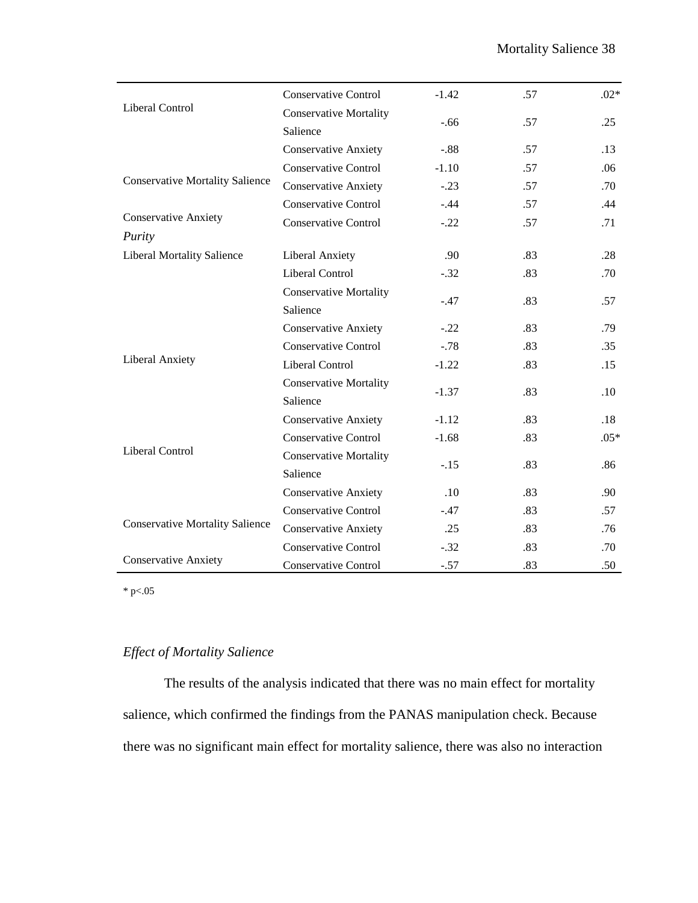|                                        | <b>Conservative Control</b>   | $-1.42$ | .57 | $.02*$ |
|----------------------------------------|-------------------------------|---------|-----|--------|
| Liberal Control                        | <b>Conservative Mortality</b> |         |     |        |
|                                        | Salience                      | $-.66$  | .57 | .25    |
|                                        | <b>Conservative Anxiety</b>   | $-.88$  | .57 | .13    |
|                                        | <b>Conservative Control</b>   | $-1.10$ | .57 | .06    |
| <b>Conservative Mortality Salience</b> | <b>Conservative Anxiety</b>   | $-.23$  | .57 | .70    |
|                                        | <b>Conservative Control</b>   | $-.44$  | .57 | .44    |
| <b>Conservative Anxiety</b>            | <b>Conservative Control</b>   | $-.22$  | .57 | .71    |
| Purity                                 |                               |         |     |        |
| <b>Liberal Mortality Salience</b>      | <b>Liberal Anxiety</b>        | .90     | .83 | .28    |
|                                        | <b>Liberal Control</b>        | $-.32$  | .83 | .70    |
|                                        | <b>Conservative Mortality</b> | $-.47$  | .83 | .57    |
|                                        | Salience                      |         |     |        |
|                                        | <b>Conservative Anxiety</b>   | $-.22$  | .83 | .79    |
|                                        | <b>Conservative Control</b>   | $-.78$  | .83 | .35    |
| <b>Liberal Anxiety</b>                 | Liberal Control               | $-1.22$ | .83 | .15    |
|                                        | <b>Conservative Mortality</b> |         |     |        |
|                                        | Salience                      | $-1.37$ | .83 | .10    |
|                                        | <b>Conservative Anxiety</b>   | $-1.12$ | .83 | .18    |
|                                        | <b>Conservative Control</b>   | $-1.68$ | .83 | $.05*$ |
| <b>Liberal Control</b>                 | <b>Conservative Mortality</b> |         |     |        |
|                                        | Salience                      | $-.15$  | .83 | .86    |
|                                        | <b>Conservative Anxiety</b>   | .10     | .83 | .90    |
|                                        | <b>Conservative Control</b>   | $-.47$  | .83 | .57    |
| <b>Conservative Mortality Salience</b> | <b>Conservative Anxiety</b>   | .25     | .83 | .76    |
|                                        | <b>Conservative Control</b>   | $-.32$  | .83 | .70    |
| <b>Conservative Anxiety</b>            | <b>Conservative Control</b>   | $-.57$  | .83 | .50    |

 $*$  p $< 05$ 

## *Effect of Mortality Salience*

The results of the analysis indicated that there was no main effect for mortality salience, which confirmed the findings from the PANAS manipulation check. Because there was no significant main effect for mortality salience, there was also no interaction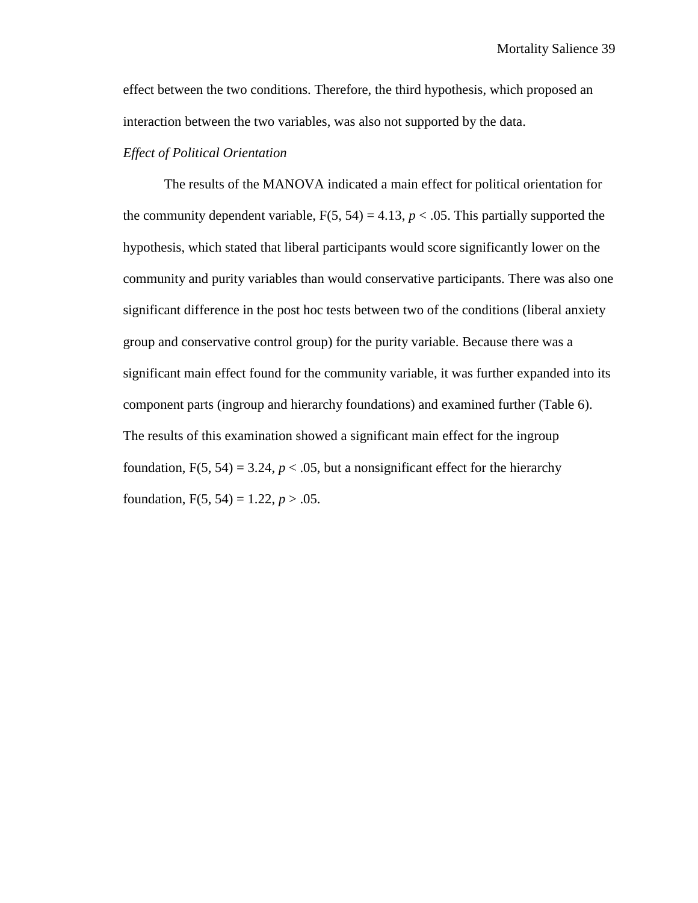effect between the two conditions. Therefore, the third hypothesis, which proposed an interaction between the two variables, was also not supported by the data.

#### *Effect of Political Orientation*

The results of the MANOVA indicated a main effect for political orientation for the community dependent variable,  $F(5, 54) = 4.13$ ,  $p < .05$ . This partially supported the hypothesis, which stated that liberal participants would score significantly lower on the community and purity variables than would conservative participants. There was also one significant difference in the post hoc tests between two of the conditions (liberal anxiety group and conservative control group) for the purity variable. Because there was a significant main effect found for the community variable, it was further expanded into its component parts (ingroup and hierarchy foundations) and examined further (Table 6). The results of this examination showed a significant main effect for the ingroup foundation,  $F(5, 54) = 3.24$ ,  $p < .05$ , but a nonsignificant effect for the hierarchy foundation,  $F(5, 54) = 1.22, p > .05$ .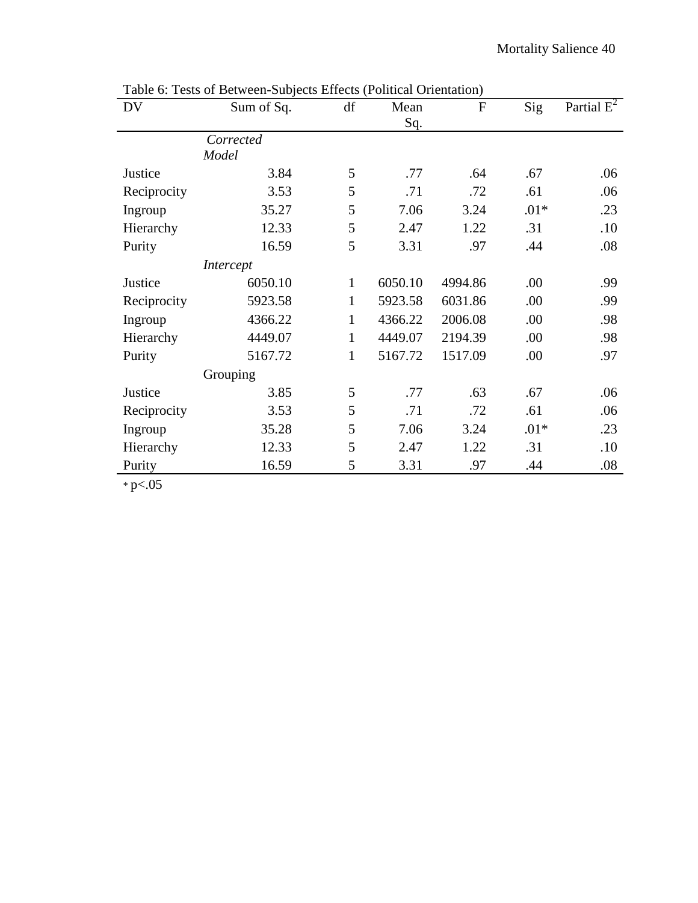| DV          | Sum of Sq. | df           | Mean    | $\mathbf{F}$ | Sig    | Partial $E^2$ |
|-------------|------------|--------------|---------|--------------|--------|---------------|
|             |            |              | Sq.     |              |        |               |
|             | Corrected  |              |         |              |        |               |
|             | Model      |              |         |              |        |               |
| Justice     | 3.84       | 5            | .77     | .64          | .67    | .06           |
| Reciprocity | 3.53       | 5            | .71     | .72          | .61    | .06           |
| Ingroup     | 35.27      | 5            | 7.06    | 3.24         | $.01*$ | .23           |
| Hierarchy   | 12.33      | 5            | 2.47    | 1.22         | .31    | .10           |
| Purity      | 16.59      | 5            | 3.31    | .97          | .44    | .08           |
|             | Intercept  |              |         |              |        |               |
| Justice     | 6050.10    | $\mathbf{1}$ | 6050.10 | 4994.86      | .00    | .99           |
| Reciprocity | 5923.58    | $\mathbf{1}$ | 5923.58 | 6031.86      | .00    | .99           |
| Ingroup     | 4366.22    | $\mathbf{1}$ | 4366.22 | 2006.08      | .00    | .98           |
| Hierarchy   | 4449.07    | $\mathbf{1}$ | 4449.07 | 2194.39      | .00    | .98           |
| Purity      | 5167.72    | $\mathbf{1}$ | 5167.72 | 1517.09      | .00    | .97           |
|             | Grouping   |              |         |              |        |               |
| Justice     | 3.85       | 5            | .77     | .63          | .67    | .06           |
| Reciprocity | 3.53       | 5            | .71     | .72          | .61    | .06           |
| Ingroup     | 35.28      | 5            | 7.06    | 3.24         | $.01*$ | .23           |
| Hierarchy   | 12.33      | 5            | 2.47    | 1.22         | .31    | .10           |
| Purity      | 16.59      | 5            | 3.31    | .97          | .44    | .08           |

Table 6: Tests of Between-Subjects Effects (Political Orientation)

 $*$  p $< 05$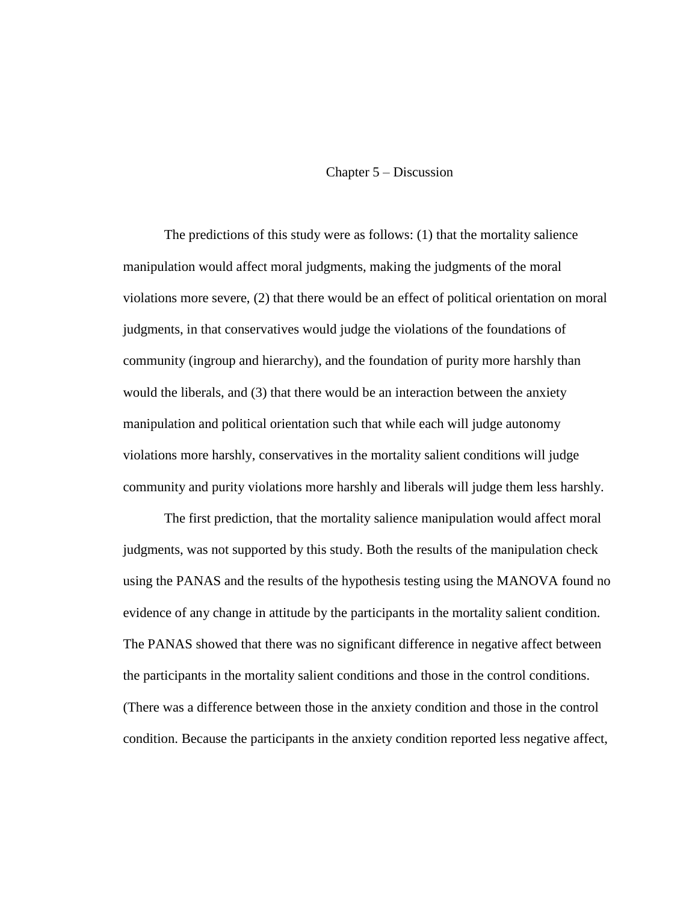#### Chapter 5 – Discussion

The predictions of this study were as follows: (1) that the mortality salience manipulation would affect moral judgments, making the judgments of the moral violations more severe, (2) that there would be an effect of political orientation on moral judgments, in that conservatives would judge the violations of the foundations of community (ingroup and hierarchy), and the foundation of purity more harshly than would the liberals, and (3) that there would be an interaction between the anxiety manipulation and political orientation such that while each will judge autonomy violations more harshly, conservatives in the mortality salient conditions will judge community and purity violations more harshly and liberals will judge them less harshly.

The first prediction, that the mortality salience manipulation would affect moral judgments, was not supported by this study. Both the results of the manipulation check using the PANAS and the results of the hypothesis testing using the MANOVA found no evidence of any change in attitude by the participants in the mortality salient condition. The PANAS showed that there was no significant difference in negative affect between the participants in the mortality salient conditions and those in the control conditions. (There was a difference between those in the anxiety condition and those in the control condition. Because the participants in the anxiety condition reported less negative affect,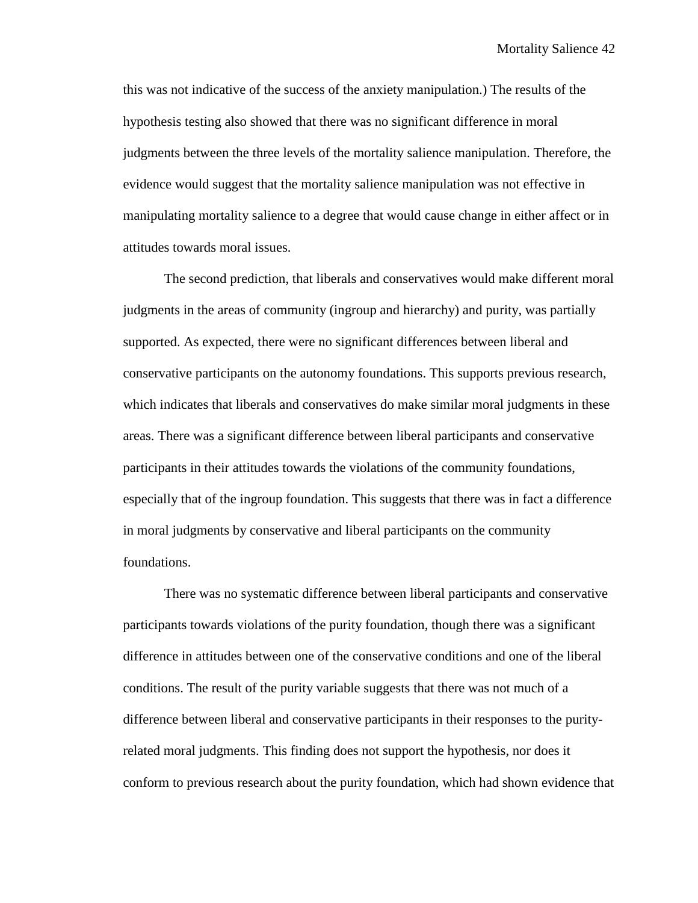this was not indicative of the success of the anxiety manipulation.) The results of the hypothesis testing also showed that there was no significant difference in moral judgments between the three levels of the mortality salience manipulation. Therefore, the evidence would suggest that the mortality salience manipulation was not effective in manipulating mortality salience to a degree that would cause change in either affect or in attitudes towards moral issues.

The second prediction, that liberals and conservatives would make different moral judgments in the areas of community (ingroup and hierarchy) and purity, was partially supported. As expected, there were no significant differences between liberal and conservative participants on the autonomy foundations. This supports previous research, which indicates that liberals and conservatives do make similar moral judgments in these areas. There was a significant difference between liberal participants and conservative participants in their attitudes towards the violations of the community foundations, especially that of the ingroup foundation. This suggests that there was in fact a difference in moral judgments by conservative and liberal participants on the community foundations.

There was no systematic difference between liberal participants and conservative participants towards violations of the purity foundation, though there was a significant difference in attitudes between one of the conservative conditions and one of the liberal conditions. The result of the purity variable suggests that there was not much of a difference between liberal and conservative participants in their responses to the purityrelated moral judgments. This finding does not support the hypothesis, nor does it conform to previous research about the purity foundation, which had shown evidence that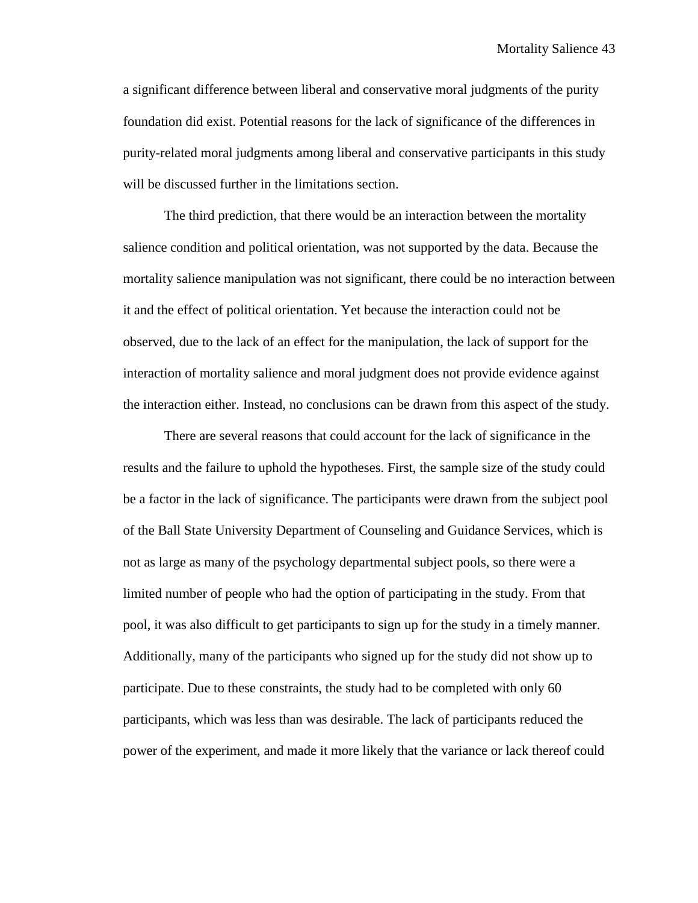a significant difference between liberal and conservative moral judgments of the purity foundation did exist. Potential reasons for the lack of significance of the differences in purity-related moral judgments among liberal and conservative participants in this study will be discussed further in the limitations section.

The third prediction, that there would be an interaction between the mortality salience condition and political orientation, was not supported by the data. Because the mortality salience manipulation was not significant, there could be no interaction between it and the effect of political orientation. Yet because the interaction could not be observed, due to the lack of an effect for the manipulation, the lack of support for the interaction of mortality salience and moral judgment does not provide evidence against the interaction either. Instead, no conclusions can be drawn from this aspect of the study.

There are several reasons that could account for the lack of significance in the results and the failure to uphold the hypotheses. First, the sample size of the study could be a factor in the lack of significance. The participants were drawn from the subject pool of the Ball State University Department of Counseling and Guidance Services, which is not as large as many of the psychology departmental subject pools, so there were a limited number of people who had the option of participating in the study. From that pool, it was also difficult to get participants to sign up for the study in a timely manner. Additionally, many of the participants who signed up for the study did not show up to participate. Due to these constraints, the study had to be completed with only 60 participants, which was less than was desirable. The lack of participants reduced the power of the experiment, and made it more likely that the variance or lack thereof could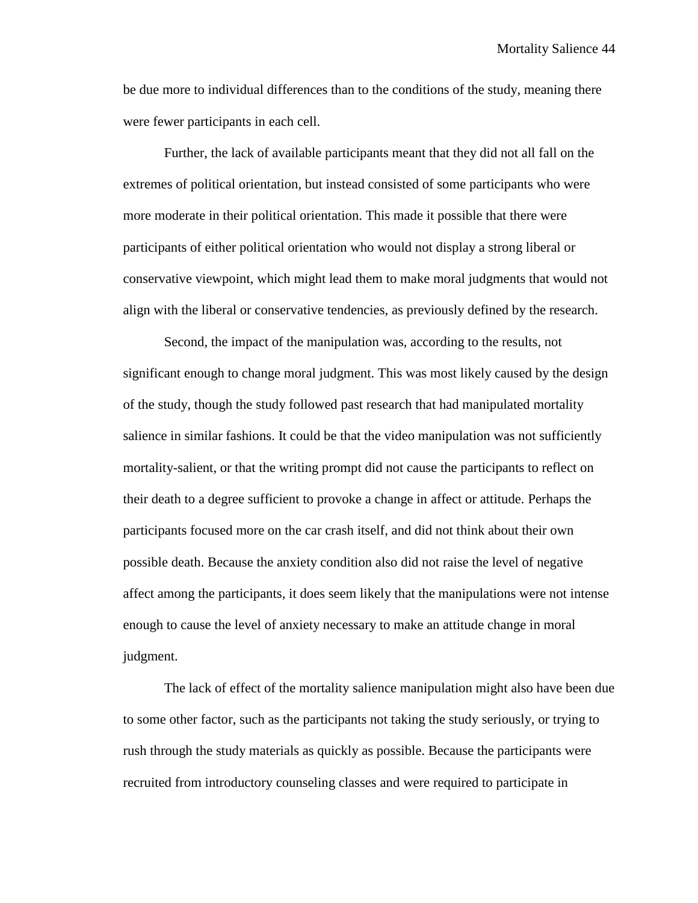be due more to individual differences than to the conditions of the study, meaning there were fewer participants in each cell.

Further, the lack of available participants meant that they did not all fall on the extremes of political orientation, but instead consisted of some participants who were more moderate in their political orientation. This made it possible that there were participants of either political orientation who would not display a strong liberal or conservative viewpoint, which might lead them to make moral judgments that would not align with the liberal or conservative tendencies, as previously defined by the research.

Second, the impact of the manipulation was, according to the results, not significant enough to change moral judgment. This was most likely caused by the design of the study, though the study followed past research that had manipulated mortality salience in similar fashions. It could be that the video manipulation was not sufficiently mortality-salient, or that the writing prompt did not cause the participants to reflect on their death to a degree sufficient to provoke a change in affect or attitude. Perhaps the participants focused more on the car crash itself, and did not think about their own possible death. Because the anxiety condition also did not raise the level of negative affect among the participants, it does seem likely that the manipulations were not intense enough to cause the level of anxiety necessary to make an attitude change in moral judgment.

The lack of effect of the mortality salience manipulation might also have been due to some other factor, such as the participants not taking the study seriously, or trying to rush through the study materials as quickly as possible. Because the participants were recruited from introductory counseling classes and were required to participate in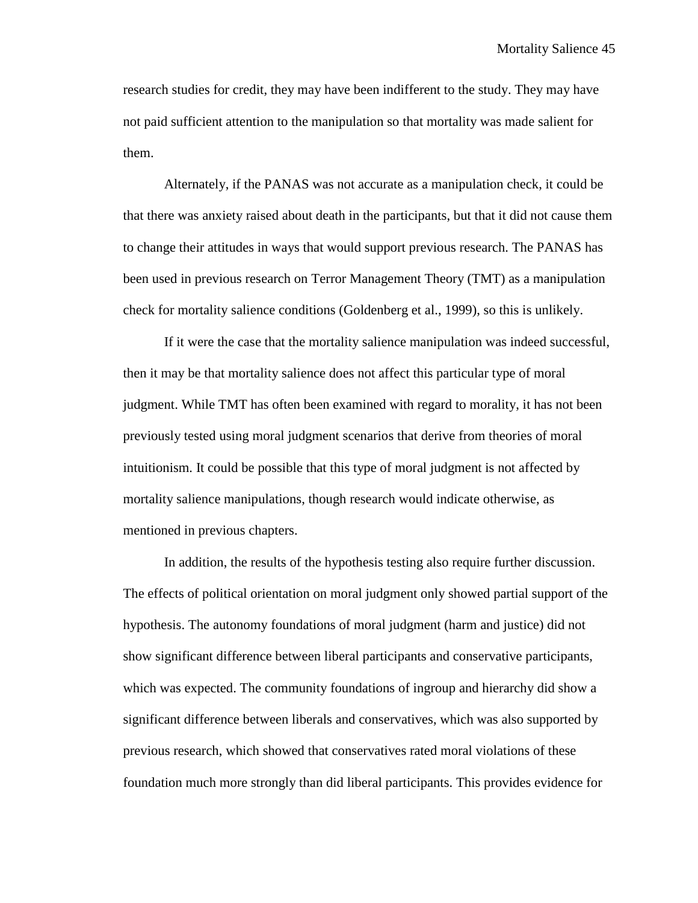research studies for credit, they may have been indifferent to the study. They may have not paid sufficient attention to the manipulation so that mortality was made salient for them.

Alternately, if the PANAS was not accurate as a manipulation check, it could be that there was anxiety raised about death in the participants, but that it did not cause them to change their attitudes in ways that would support previous research. The PANAS has been used in previous research on Terror Management Theory (TMT) as a manipulation check for mortality salience conditions (Goldenberg et al., 1999), so this is unlikely.

If it were the case that the mortality salience manipulation was indeed successful, then it may be that mortality salience does not affect this particular type of moral judgment. While TMT has often been examined with regard to morality, it has not been previously tested using moral judgment scenarios that derive from theories of moral intuitionism. It could be possible that this type of moral judgment is not affected by mortality salience manipulations, though research would indicate otherwise, as mentioned in previous chapters.

In addition, the results of the hypothesis testing also require further discussion. The effects of political orientation on moral judgment only showed partial support of the hypothesis. The autonomy foundations of moral judgment (harm and justice) did not show significant difference between liberal participants and conservative participants, which was expected. The community foundations of ingroup and hierarchy did show a significant difference between liberals and conservatives, which was also supported by previous research, which showed that conservatives rated moral violations of these foundation much more strongly than did liberal participants. This provides evidence for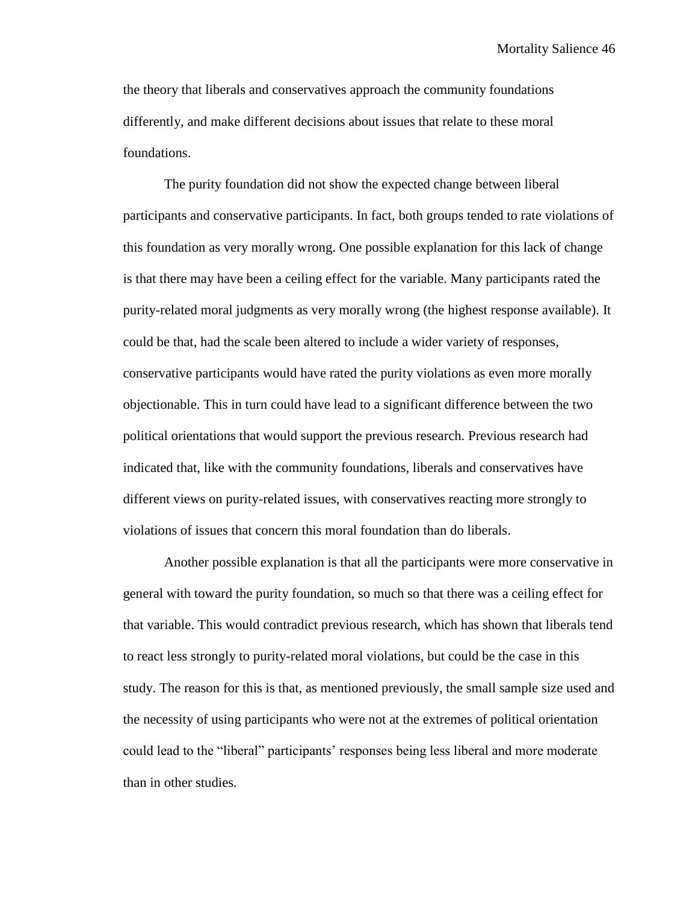the theory that liberals and conservatives approach the community foundations differently, and make different decisions about issues that relate to these moral foundations.

The purity foundation did not show the expected change between liberal participants and conservative participants. In fact, both groups tended to rate violations of this foundation as very morally wrong. One possible explanation for this lack of change is that there may have been a ceiling effect for the variable. Many participants rated the purity-related moral judgments as very morally wrong (the highest response available). It could be that, had the scale been altered to include a wider variety of responses, conservative participants would have rated the purity violations as even more morally objectionable. This in turn could have lead to a significant difference between the two political orientations that would support the previous research. Previous research had indicated that, like with the community foundations, liberals and conservatives have different views on purity-related issues, with conservatives reacting more strongly to violations of issues that concern this moral foundation than do liberals.

Another possible explanation is that all the participants were more conservative in general with toward the purity foundation, so much so that there was a ceiling effect for that variable. This would contradict previous research, which has shown that liberals tend to react less strongly to purity-related moral violations, but could be the case in this study. The reason for this is that, as mentioned previously, the small sample size used and the necessity of using participants who were not at the extremes of political orientation could lead to the "liberal" participants' responses being less liberal and more moderate than in other studies.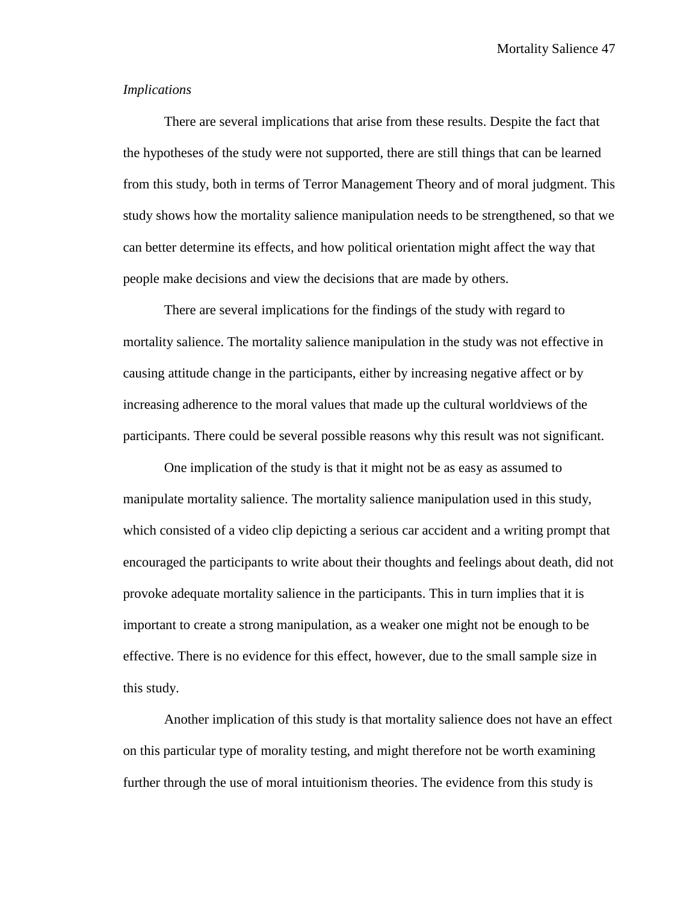#### *Implications*

There are several implications that arise from these results. Despite the fact that the hypotheses of the study were not supported, there are still things that can be learned from this study, both in terms of Terror Management Theory and of moral judgment. This study shows how the mortality salience manipulation needs to be strengthened, so that we can better determine its effects, and how political orientation might affect the way that people make decisions and view the decisions that are made by others.

There are several implications for the findings of the study with regard to mortality salience. The mortality salience manipulation in the study was not effective in causing attitude change in the participants, either by increasing negative affect or by increasing adherence to the moral values that made up the cultural worldviews of the participants. There could be several possible reasons why this result was not significant.

One implication of the study is that it might not be as easy as assumed to manipulate mortality salience. The mortality salience manipulation used in this study, which consisted of a video clip depicting a serious car accident and a writing prompt that encouraged the participants to write about their thoughts and feelings about death, did not provoke adequate mortality salience in the participants. This in turn implies that it is important to create a strong manipulation, as a weaker one might not be enough to be effective. There is no evidence for this effect, however, due to the small sample size in this study.

Another implication of this study is that mortality salience does not have an effect on this particular type of morality testing, and might therefore not be worth examining further through the use of moral intuitionism theories. The evidence from this study is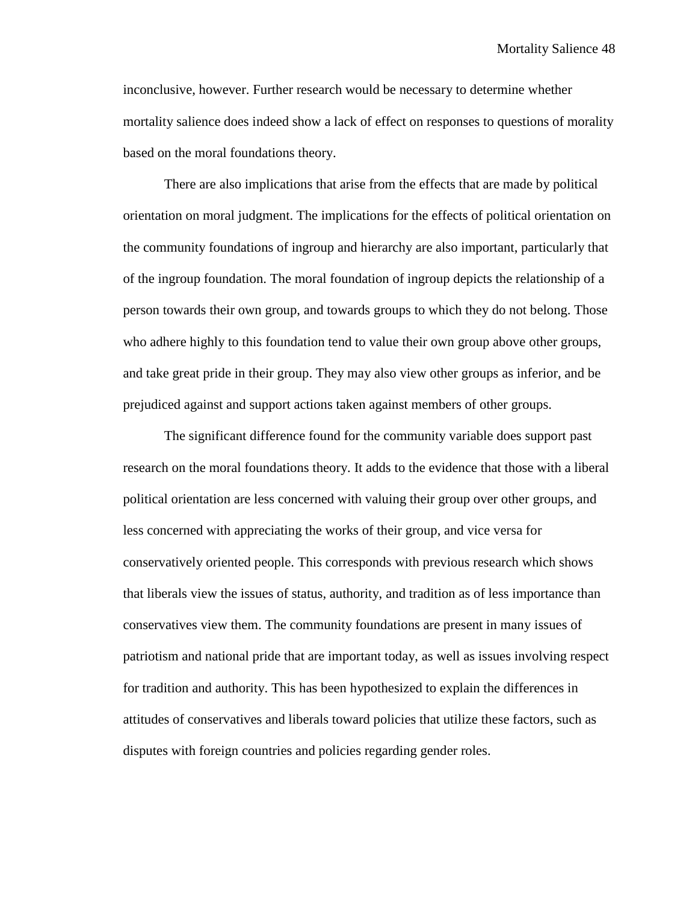inconclusive, however. Further research would be necessary to determine whether mortality salience does indeed show a lack of effect on responses to questions of morality based on the moral foundations theory.

There are also implications that arise from the effects that are made by political orientation on moral judgment. The implications for the effects of political orientation on the community foundations of ingroup and hierarchy are also important, particularly that of the ingroup foundation. The moral foundation of ingroup depicts the relationship of a person towards their own group, and towards groups to which they do not belong. Those who adhere highly to this foundation tend to value their own group above other groups, and take great pride in their group. They may also view other groups as inferior, and be prejudiced against and support actions taken against members of other groups.

The significant difference found for the community variable does support past research on the moral foundations theory. It adds to the evidence that those with a liberal political orientation are less concerned with valuing their group over other groups, and less concerned with appreciating the works of their group, and vice versa for conservatively oriented people. This corresponds with previous research which shows that liberals view the issues of status, authority, and tradition as of less importance than conservatives view them. The community foundations are present in many issues of patriotism and national pride that are important today, as well as issues involving respect for tradition and authority. This has been hypothesized to explain the differences in attitudes of conservatives and liberals toward policies that utilize these factors, such as disputes with foreign countries and policies regarding gender roles.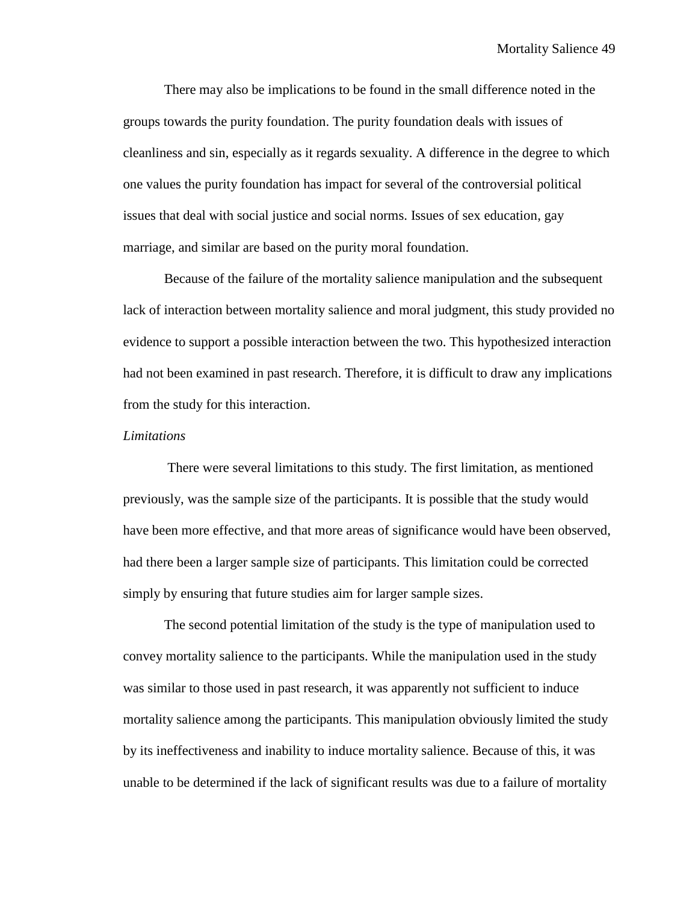There may also be implications to be found in the small difference noted in the groups towards the purity foundation. The purity foundation deals with issues of cleanliness and sin, especially as it regards sexuality. A difference in the degree to which one values the purity foundation has impact for several of the controversial political issues that deal with social justice and social norms. Issues of sex education, gay marriage, and similar are based on the purity moral foundation.

Because of the failure of the mortality salience manipulation and the subsequent lack of interaction between mortality salience and moral judgment, this study provided no evidence to support a possible interaction between the two. This hypothesized interaction had not been examined in past research. Therefore, it is difficult to draw any implications from the study for this interaction.

#### *Limitations*

There were several limitations to this study. The first limitation, as mentioned previously, was the sample size of the participants. It is possible that the study would have been more effective, and that more areas of significance would have been observed, had there been a larger sample size of participants. This limitation could be corrected simply by ensuring that future studies aim for larger sample sizes.

The second potential limitation of the study is the type of manipulation used to convey mortality salience to the participants. While the manipulation used in the study was similar to those used in past research, it was apparently not sufficient to induce mortality salience among the participants. This manipulation obviously limited the study by its ineffectiveness and inability to induce mortality salience. Because of this, it was unable to be determined if the lack of significant results was due to a failure of mortality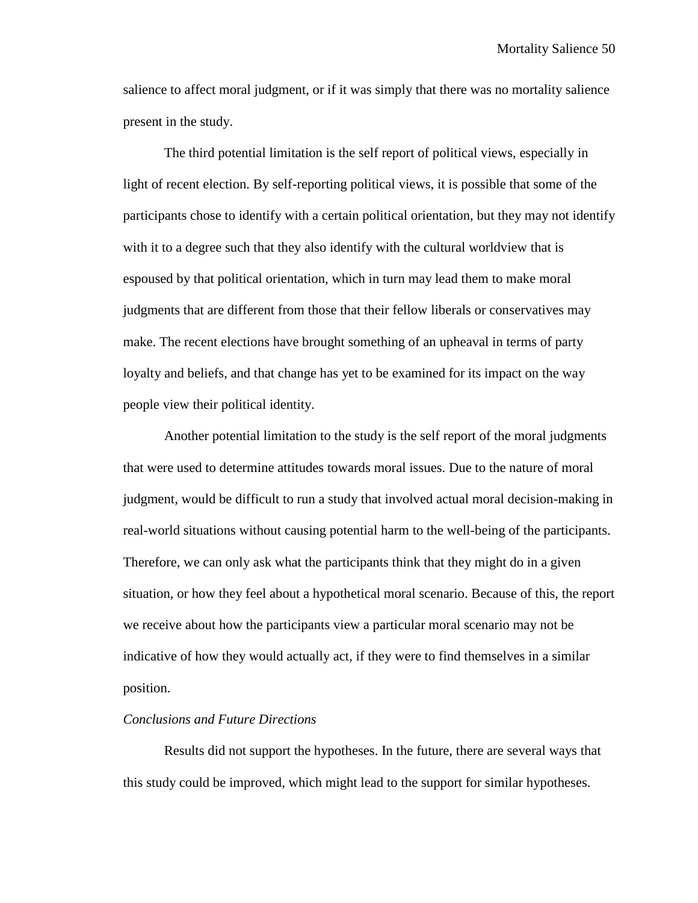salience to affect moral judgment, or if it was simply that there was no mortality salience present in the study.

The third potential limitation is the self report of political views, especially in light of recent election. By self-reporting political views, it is possible that some of the participants chose to identify with a certain political orientation, but they may not identify with it to a degree such that they also identify with the cultural worldview that is espoused by that political orientation, which in turn may lead them to make moral judgments that are different from those that their fellow liberals or conservatives may make. The recent elections have brought something of an upheaval in terms of party loyalty and beliefs, and that change has yet to be examined for its impact on the way people view their political identity.

Another potential limitation to the study is the self report of the moral judgments that were used to determine attitudes towards moral issues. Due to the nature of moral judgment, would be difficult to run a study that involved actual moral decision-making in real-world situations without causing potential harm to the well-being of the participants. Therefore, we can only ask what the participants think that they might do in a given situation, or how they feel about a hypothetical moral scenario. Because of this, the report we receive about how the participants view a particular moral scenario may not be indicative of how they would actually act, if they were to find themselves in a similar position.

#### *Conclusions and Future Directions*

Results did not support the hypotheses. In the future, there are several ways that this study could be improved, which might lead to the support for similar hypotheses.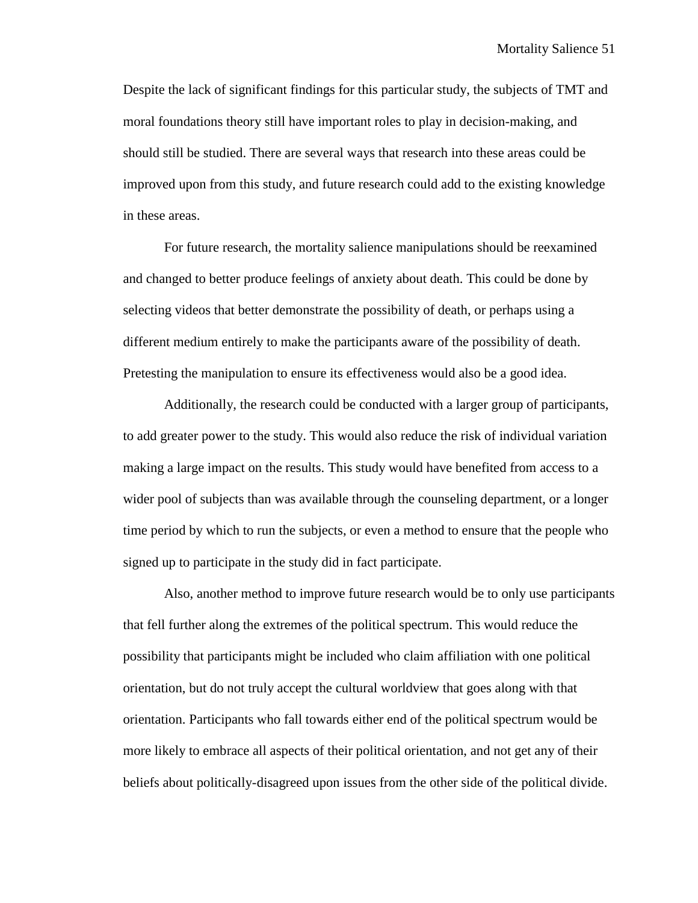Despite the lack of significant findings for this particular study, the subjects of TMT and moral foundations theory still have important roles to play in decision-making, and should still be studied. There are several ways that research into these areas could be improved upon from this study, and future research could add to the existing knowledge in these areas.

For future research, the mortality salience manipulations should be reexamined and changed to better produce feelings of anxiety about death. This could be done by selecting videos that better demonstrate the possibility of death, or perhaps using a different medium entirely to make the participants aware of the possibility of death. Pretesting the manipulation to ensure its effectiveness would also be a good idea.

Additionally, the research could be conducted with a larger group of participants, to add greater power to the study. This would also reduce the risk of individual variation making a large impact on the results. This study would have benefited from access to a wider pool of subjects than was available through the counseling department, or a longer time period by which to run the subjects, or even a method to ensure that the people who signed up to participate in the study did in fact participate.

Also, another method to improve future research would be to only use participants that fell further along the extremes of the political spectrum. This would reduce the possibility that participants might be included who claim affiliation with one political orientation, but do not truly accept the cultural worldview that goes along with that orientation. Participants who fall towards either end of the political spectrum would be more likely to embrace all aspects of their political orientation, and not get any of their beliefs about politically-disagreed upon issues from the other side of the political divide.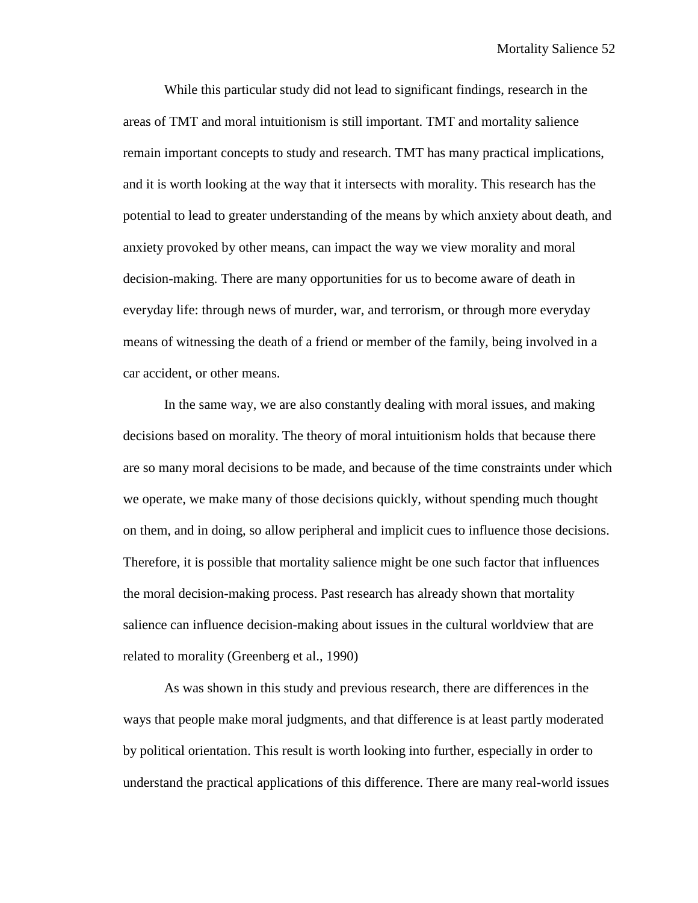While this particular study did not lead to significant findings, research in the areas of TMT and moral intuitionism is still important. TMT and mortality salience remain important concepts to study and research. TMT has many practical implications, and it is worth looking at the way that it intersects with morality. This research has the potential to lead to greater understanding of the means by which anxiety about death, and anxiety provoked by other means, can impact the way we view morality and moral decision-making. There are many opportunities for us to become aware of death in everyday life: through news of murder, war, and terrorism, or through more everyday means of witnessing the death of a friend or member of the family, being involved in a car accident, or other means.

In the same way, we are also constantly dealing with moral issues, and making decisions based on morality. The theory of moral intuitionism holds that because there are so many moral decisions to be made, and because of the time constraints under which we operate, we make many of those decisions quickly, without spending much thought on them, and in doing, so allow peripheral and implicit cues to influence those decisions. Therefore, it is possible that mortality salience might be one such factor that influences the moral decision-making process. Past research has already shown that mortality salience can influence decision-making about issues in the cultural worldview that are related to morality (Greenberg et al., 1990)

As was shown in this study and previous research, there are differences in the ways that people make moral judgments, and that difference is at least partly moderated by political orientation. This result is worth looking into further, especially in order to understand the practical applications of this difference. There are many real-world issues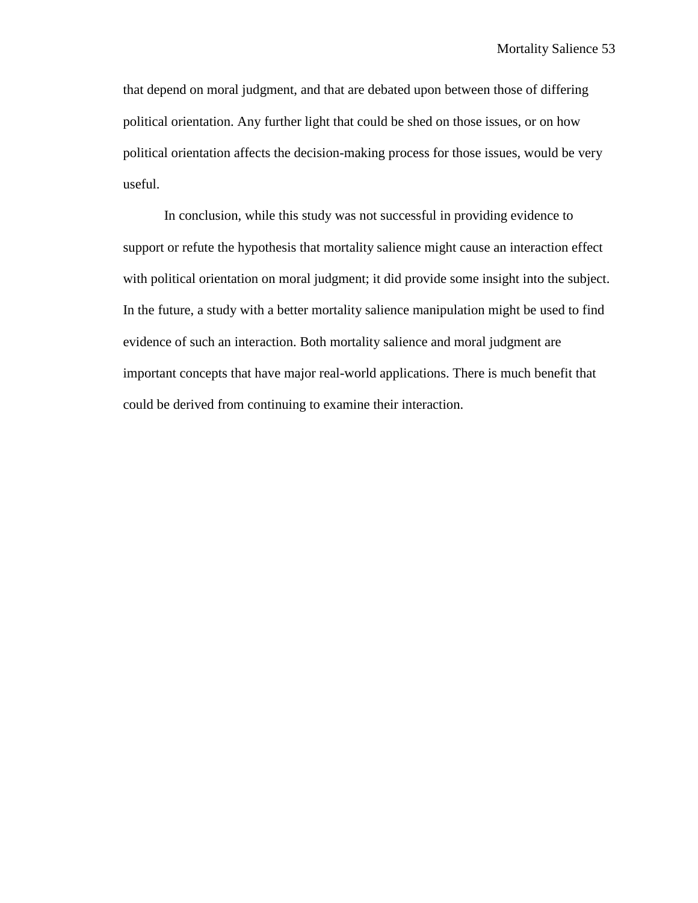that depend on moral judgment, and that are debated upon between those of differing political orientation. Any further light that could be shed on those issues, or on how political orientation affects the decision-making process for those issues, would be very useful.

In conclusion, while this study was not successful in providing evidence to support or refute the hypothesis that mortality salience might cause an interaction effect with political orientation on moral judgment; it did provide some insight into the subject. In the future, a study with a better mortality salience manipulation might be used to find evidence of such an interaction. Both mortality salience and moral judgment are important concepts that have major real-world applications. There is much benefit that could be derived from continuing to examine their interaction.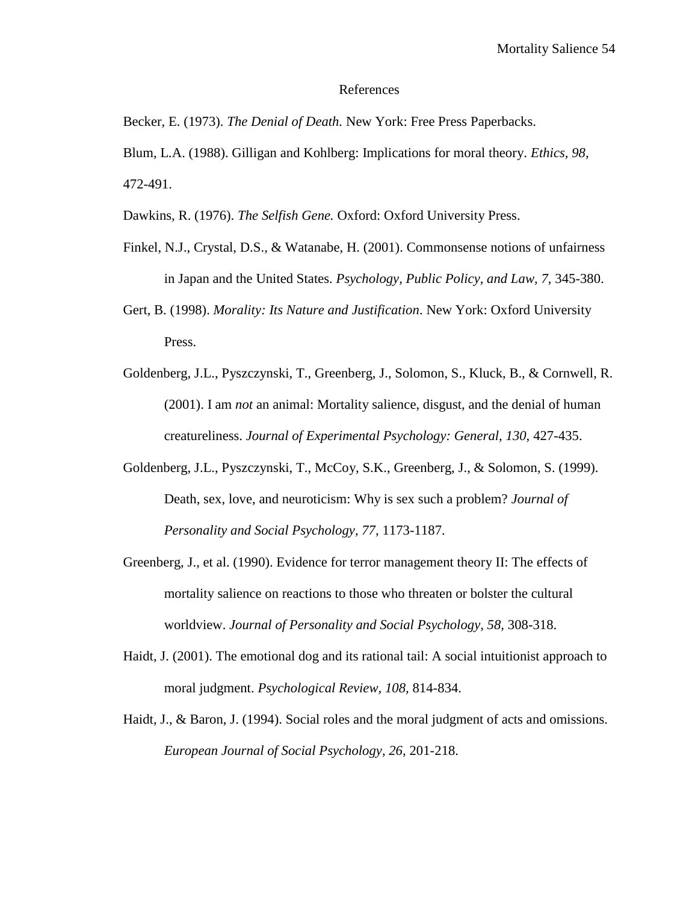#### References

Becker, E. (1973). *The Denial of Death.* New York: Free Press Paperbacks.

Blum, L.A. (1988). Gilligan and Kohlberg: Implications for moral theory. *Ethics, 98,*  472-491.

Dawkins, R. (1976). *The Selfish Gene.* Oxford: Oxford University Press.

- Finkel, N.J., Crystal, D.S., & Watanabe, H. (2001). Commonsense notions of unfairness in Japan and the United States. *Psychology, Public Policy, and Law, 7,* 345-380.
- Gert, B. (1998). *Morality: Its Nature and Justification*. New York: Oxford University Press.
- Goldenberg, J.L., Pyszczynski, T., Greenberg, J., Solomon, S., Kluck, B., & Cornwell, R. (2001). I am *not* an animal: Mortality salience, disgust, and the denial of human creatureliness. *Journal of Experimental Psychology: General, 130,* 427-435.
- Goldenberg, J.L., Pyszczynski, T., McCoy, S.K., Greenberg, J., & Solomon, S. (1999). Death, sex, love, and neuroticism: Why is sex such a problem? *Journal of Personality and Social Psychology, 77,* 1173-1187.
- Greenberg, J., et al. (1990). Evidence for terror management theory II: The effects of mortality salience on reactions to those who threaten or bolster the cultural worldview. *Journal of Personality and Social Psychology, 58,* 308-318.
- Haidt, J. (2001). The emotional dog and its rational tail: A social intuitionist approach to moral judgment. *Psychological Review, 108,* 814-834.
- Haidt, J., & Baron, J. (1994). Social roles and the moral judgment of acts and omissions. *European Journal of Social Psychology, 26,* 201-218.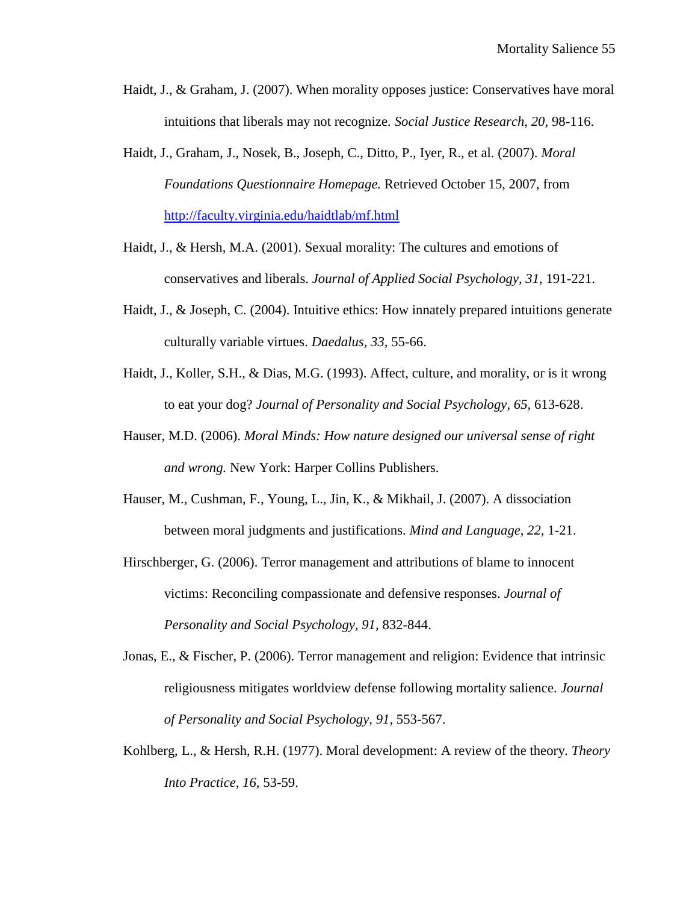- Haidt, J., & Graham, J. (2007). When morality opposes justice: Conservatives have moral intuitions that liberals may not recognize. *Social Justice Research, 20,* 98-116.
- Haidt, J., Graham, J., Nosek, B., Joseph, C., Ditto, P., Iyer, R., et al. (2007). *Moral Foundations Questionnaire Homepage.* Retrieved October 15, 2007, from <http://faculty.virginia.edu/haidtlab/mf.html>
- Haidt, J., & Hersh, M.A. (2001). Sexual morality: The cultures and emotions of conservatives and liberals. *Journal of Applied Social Psychology, 31,* 191-221.
- Haidt, J., & Joseph, C. (2004). Intuitive ethics: How innately prepared intuitions generate culturally variable virtues. *Daedalus, 33,* 55-66.
- Haidt, J., Koller, S.H., & Dias, M.G. (1993). Affect, culture, and morality, or is it wrong to eat your dog? *Journal of Personality and Social Psychology, 65,* 613-628.
- Hauser, M.D. (2006). *Moral Minds: How nature designed our universal sense of right and wrong.* New York: Harper Collins Publishers.
- Hauser, M., Cushman, F., Young, L., Jin, K., & Mikhail, J. (2007). A dissociation between moral judgments and justifications. *Mind and Language, 22,* 1-21.
- Hirschberger, G. (2006). Terror management and attributions of blame to innocent victims: Reconciling compassionate and defensive responses. *Journal of Personality and Social Psychology, 91,* 832-844.
- Jonas, E., & Fischer, P. (2006). Terror management and religion: Evidence that intrinsic religiousness mitigates worldview defense following mortality salience. *Journal of Personality and Social Psychology, 91,* 553-567.
- Kohlberg, L., & Hersh, R.H. (1977). Moral development: A review of the theory. *Theory Into Practice, 16,* 53-59.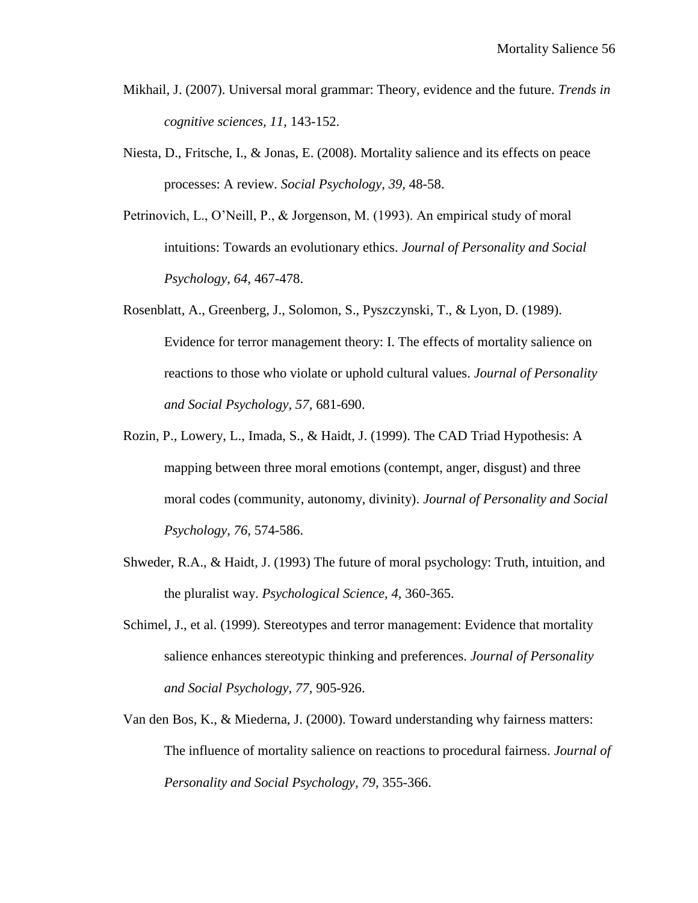- Mikhail, J. (2007). Universal moral grammar: Theory, evidence and the future. *Trends in cognitive sciences, 11,* 143-152.
- Niesta, D., Fritsche, I., & Jonas, E. (2008). Mortality salience and its effects on peace processes: A review. *Social Psychology, 39,* 48-58.
- Petrinovich, L., O'Neill, P., & Jorgenson, M. (1993). An empirical study of moral intuitions: Towards an evolutionary ethics. *Journal of Personality and Social Psychology, 64,* 467-478.
- Rosenblatt, A., Greenberg, J., Solomon, S., Pyszczynski, T., & Lyon, D. (1989). Evidence for terror management theory: I. The effects of mortality salience on reactions to those who violate or uphold cultural values. *Journal of Personality and Social Psychology, 57,* 681-690.
- Rozin, P., Lowery, L., Imada, S., & Haidt, J. (1999). The CAD Triad Hypothesis: A mapping between three moral emotions (contempt, anger, disgust) and three moral codes (community, autonomy, divinity). *Journal of Personality and Social Psychology, 76,* 574-586.
- Shweder, R.A., & Haidt, J. (1993) The future of moral psychology: Truth, intuition, and the pluralist way. *Psychological Science, 4,* 360-365.
- Schimel, J., et al. (1999). Stereotypes and terror management: Evidence that mortality salience enhances stereotypic thinking and preferences. *Journal of Personality and Social Psychology, 77,* 905-926.
- Van den Bos, K., & Miederna, J. (2000). Toward understanding why fairness matters: The influence of mortality salience on reactions to procedural fairness. *Journal of Personality and Social Psychology, 79,* 355-366.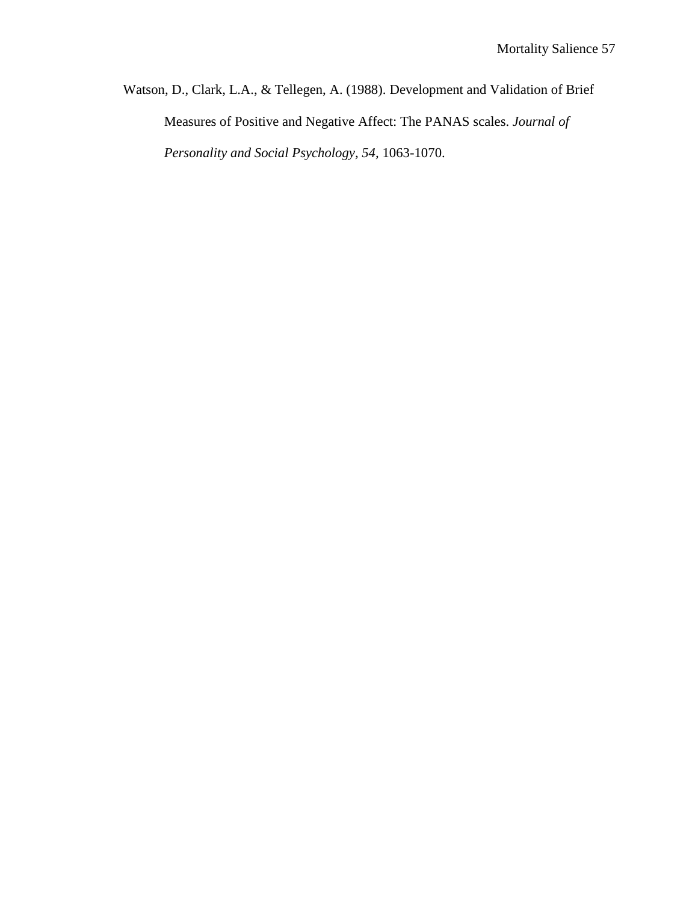Watson, D., Clark, L.A., & Tellegen, A. (1988). Development and Validation of Brief Measures of Positive and Negative Affect: The PANAS scales. *Journal of Personality and Social Psychology, 54,* 1063-1070.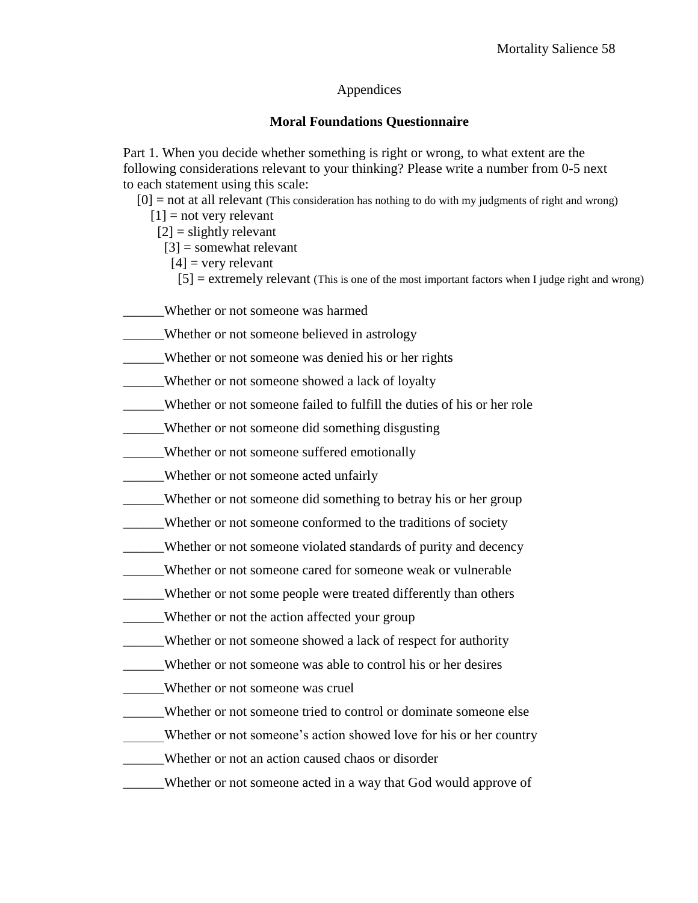## Appendices

## **Moral Foundations Questionnaire**

Part 1. When you decide whether something is right or wrong, to what extent are the following considerations relevant to your thinking? Please write a number from 0-5 next to each statement using this scale:

 $[0]$  = not at all relevant (This consideration has nothing to do with my judgments of right and wrong)

- $[1]$  = not very relevant
- $[2]$  = slightly relevant

 $[3]$  = somewhat relevant

- $[4]$  = very relevant
- $[5]$  = extremely relevant (This is one of the most important factors when I judge right and wrong)
- \_\_\_\_\_\_Whether or not someone was harmed
- \_\_\_\_\_\_Whether or not someone believed in astrology
- \_\_\_\_\_\_Whether or not someone was denied his or her rights
- \_\_\_\_\_\_Whether or not someone showed a lack of loyalty
- \_\_\_\_\_\_Whether or not someone failed to fulfill the duties of his or her role
- \_\_\_\_\_\_Whether or not someone did something disgusting
- Whether or not someone suffered emotionally
- \_\_\_\_\_\_Whether or not someone acted unfairly
- \_\_\_\_\_\_Whether or not someone did something to betray his or her group
- \_\_\_\_\_\_Whether or not someone conformed to the traditions of society
- \_\_\_\_\_\_Whether or not someone violated standards of purity and decency
- \_\_\_\_\_\_Whether or not someone cared for someone weak or vulnerable
- \_\_\_\_\_\_Whether or not some people were treated differently than others
- \_\_\_\_\_\_Whether or not the action affected your group
- \_\_\_\_\_\_Whether or not someone showed a lack of respect for authority
- \_\_\_\_\_\_Whether or not someone was able to control his or her desires
- \_\_\_\_\_\_Whether or not someone was cruel
- \_\_\_\_\_\_Whether or not someone tried to control or dominate someone else
- Whether or not someone's action showed love for his or her country
- \_\_\_\_\_\_Whether or not an action caused chaos or disorder
- \_\_\_\_\_\_Whether or not someone acted in a way that God would approve of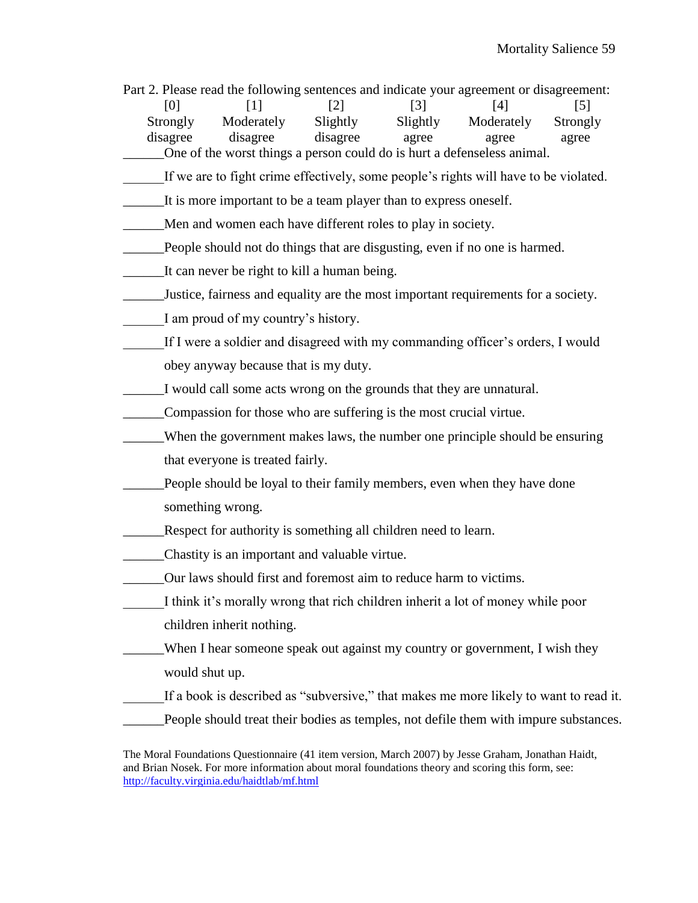Part 2. Please read the following sentences and indicate your agreement or disagreement:

 $[0]$   $[1]$   $[2]$   $[3]$   $[4]$   $[5]$  Strongly Moderately Slightly Slightly Moderately Strongly disagree disagree disagree agree agree agree \_\_\_\_\_\_One of the worst things a person could do is hurt a defenseless animal.

- If we are to fight crime effectively, some people's rights will have to be violated.
- \_\_\_\_\_\_It is more important to be a team player than to express oneself.
- \_\_\_\_\_\_Men and women each have different roles to play in society.
- \_\_\_\_\_\_People should not do things that are disgusting, even if no one is harmed.
- \_\_\_\_\_\_It can never be right to kill a human being.
- \_\_\_\_\_\_Justice, fairness and equality are the most important requirements for a society.
- I am proud of my country's history.
- If I were a soldier and disagreed with my commanding officer's orders, I would obey anyway because that is my duty.
- \_\_\_\_\_\_I would call some acts wrong on the grounds that they are unnatural.
- \_\_\_\_\_\_Compassion for those who are suffering is the most crucial virtue.
- \_\_\_\_\_\_When the government makes laws, the number one principle should be ensuring that everyone is treated fairly.
	- People should be loyal to their family members, even when they have done something wrong.
- \_\_\_\_\_\_Respect for authority is something all children need to learn.
- \_\_\_\_\_\_Chastity is an important and valuable virtue.
- \_\_\_\_\_\_Our laws should first and foremost aim to reduce harm to victims.
- I think it's morally wrong that rich children inherit a lot of money while poor children inherit nothing.
- \_\_\_\_\_\_When I hear someone speak out against my country or government, I wish they would shut up.
- If a book is described as "subversive," that makes me more likely to want to read it.
- \_\_\_\_\_\_People should treat their bodies as temples, not defile them with impure substances.

The Moral Foundations Questionnaire (41 item version, March 2007) by Jesse Graham, Jonathan Haidt, and Brian Nosek. For more information about moral foundations theory and scoring this form, see: <http://faculty.virginia.edu/haidtlab/mf.html>